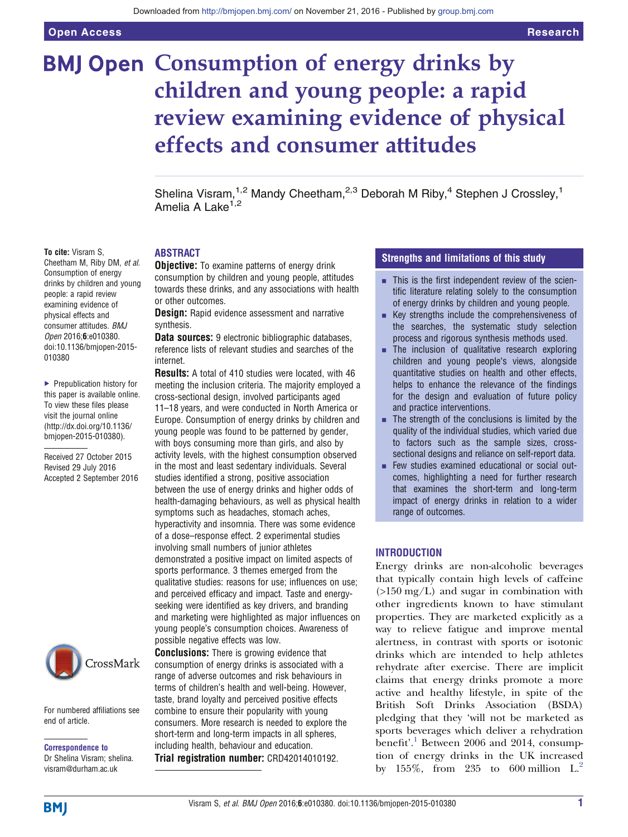# **BMJ Open Consumption of energy drinks by** children and young people: a rapid review examining evidence of physical effects and consumer attitudes

Shelina Visram,<sup>1,2</sup> Mandy Cheetham,<sup>2,3</sup> Deborah M Riby,<sup>4</sup> Stephen J Crossley,<sup>1</sup> Amelia A Lake<sup>1,2</sup>

## To cite: Visram S.

Cheetham M, Riby DM, et al. Consumption of energy drinks by children and young people: a rapid review examining evidence of physical effects and consumer attitudes. BMJ Open 2016;6:e010380. doi:10.1136/bmjopen-2015- 010380

▶ Prepublication history for this paper is available online. To view these files please visit the journal online [\(http://dx.doi.org/10.1136/](http://dx.doi.org/10.1136/bmjopen-2015-010380) [bmjopen-2015-010380](http://dx.doi.org/10.1136/bmjopen-2015-010380)).

Received 27 October 2015 Revised 29 July 2016 Accepted 2 September 2016



For numbered affiliations see end of article.

Correspondence to Dr Shelina Visram; shelina. visram@durham.ac.uk

# ABSTRACT

**Objective:** To examine patterns of energy drink consumption by children and young people, attitudes towards these drinks, and any associations with health or other outcomes.

**Design:** Rapid evidence assessment and narrative synthesis.

Data sources: 9 electronic bibliographic databases, reference lists of relevant studies and searches of the internet.

Results: A total of 410 studies were located, with 46 meeting the inclusion criteria. The majority employed a cross-sectional design, involved participants aged 11–18 years, and were conducted in North America or Europe. Consumption of energy drinks by children and young people was found to be patterned by gender, with boys consuming more than girls, and also by activity levels, with the highest consumption observed in the most and least sedentary individuals. Several studies identified a strong, positive association between the use of energy drinks and higher odds of health-damaging behaviours, as well as physical health symptoms such as headaches, stomach aches, hyperactivity and insomnia. There was some evidence of a dose–response effect. 2 experimental studies involving small numbers of junior athletes demonstrated a positive impact on limited aspects of sports performance. 3 themes emerged from the qualitative studies: reasons for use; influences on use; and perceived efficacy and impact. Taste and energyseeking were identified as key drivers, and branding and marketing were highlighted as major influences on young people's consumption choices. Awareness of possible negative effects was low.

**Conclusions:** There is growing evidence that consumption of energy drinks is associated with a range of adverse outcomes and risk behaviours in terms of children's health and well-being. However, taste, brand loyalty and perceived positive effects combine to ensure their popularity with young consumers. More research is needed to explore the short-term and long-term impacts in all spheres, including health, behaviour and education. Trial registration number: CRD42014010192.

# Strengths and limitations of this study

- $\blacksquare$  This is the first independent review of the scientific literature relating solely to the consumption of energy drinks by children and young people.
- $\blacksquare$  Key strengths include the comprehensiveness of the searches, the systematic study selection process and rigorous synthesis methods used.
- $\blacksquare$  The inclusion of qualitative research exploring children and young people's views, alongside quantitative studies on health and other effects, helps to enhance the relevance of the findings for the design and evaluation of future policy and practice interventions.
- $\blacksquare$  The strength of the conclusions is limited by the quality of the individual studies, which varied due to factors such as the sample sizes, crosssectional designs and reliance on self-report data.
- $\blacksquare$  Few studies examined educational or social outcomes, highlighting a need for further research that examines the short-term and long-term impact of energy drinks in relation to a wider range of outcomes.

# INTRODUCTION

Energy drinks are non-alcoholic beverages that typically contain high levels of caffeine  $(>150 \text{ mg/L})$  and sugar in combination with other ingredients known to have stimulant properties. They are marketed explicitly as a way to relieve fatigue and improve mental alertness, in contrast with sports or isotonic drinks which are intended to help athletes rehydrate after exercise. There are implicit claims that energy drinks promote a more active and healthy lifestyle, in spite of the British Soft Drinks Association (BSDA) pledging that they 'will not be marketed as sports beverages which deliver a rehydration benefit'. [1](#page-21-0) Between 2006 and 2014, consumption of energy drinks in the UK increased by 155%, from 235 to 600 million  $L^2$ .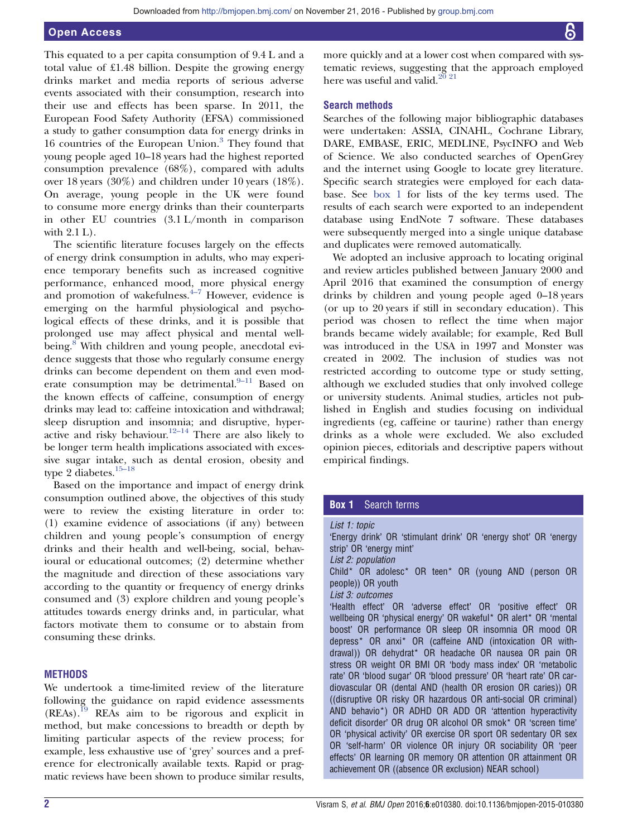# Open Access

This equated to a per capita consumption of 9.4 L and a total value of £1.48 billion. Despite the growing energy drinks market and media reports of serious adverse events associated with their consumption, research into their use and effects has been sparse. In 2011, the European Food Safety Authority (EFSA) commissioned a study to gather consumption data for energy drinks in 16 countries of the European Union.<sup>[3](#page-21-0)</sup> They found that young people aged 10–18 years had the highest reported consumption prevalence (68%), compared with adults over 18 years (30%) and children under 10 years (18%). On average, young people in the UK were found to consume more energy drinks than their counterparts in other EU countries (3.1 L/month in comparison with 2.1 L).

The scientific literature focuses largely on the effects of energy drink consumption in adults, who may experience temporary benefits such as increased cognitive performance, enhanced mood, more physical energy and promotion of wakefulness. $4\frac{4}{7}$  $4\frac{4}{7}$  However, evidence is emerging on the harmful physiological and psychological effects of these drinks, and it is possible that prolonged use may affect physical and mental well-being.<sup>[8](#page-21-0)</sup> With children and young people, anecdotal evidence suggests that those who regularly consume energy drinks can become dependent on them and even mod-erate consumption may be detrimental.<sup>9-[11](#page-21-0)</sup> Based on the known effects of caffeine, consumption of energy drinks may lead to: caffeine intoxication and withdrawal; sleep disruption and insomnia; and disruptive, hyper-active and risky behaviour.<sup>[12](#page-21-0)–14</sup> There are also likely to be longer term health implications associated with excessive sugar intake, such as dental erosion, obesity and type 2 diabetes.<sup>15–[18](#page-21-0)</sup>

Based on the importance and impact of energy drink consumption outlined above, the objectives of this study were to review the existing literature in order to: (1) examine evidence of associations (if any) between children and young people's consumption of energy drinks and their health and well-being, social, behavioural or educational outcomes; (2) determine whether the magnitude and direction of these associations vary according to the quantity or frequency of energy drinks consumed and (3) explore children and young people's attitudes towards energy drinks and, in particular, what factors motivate them to consume or to abstain from consuming these drinks.

## **METHODS**

We undertook a time-limited review of the literature following the guidance on rapid evidence assessments  $(REAs).$ <sup>[19](#page-21-0)</sup> REAs aim to be rigorous and explicit in method, but make concessions to breadth or depth by limiting particular aspects of the review process; for example, less exhaustive use of 'grey' sources and a preference for electronically available texts. Rapid or pragmatic reviews have been shown to produce similar results,

more quickly and at a lower cost when compared with systematic reviews, suggesting that the approach employed here was useful and valid. $2^{10}$   $2^{11}$ 

# Search methods

Searches of the following major bibliographic databases were undertaken: ASSIA, CINAHL, Cochrane Library, DARE, EMBASE, ERIC, MEDLINE, PsycINFO and Web of Science. We also conducted searches of OpenGrey and the internet using Google to locate grey literature. Specific search strategies were employed for each database. See box 1 for lists of the key terms used. The results of each search were exported to an independent database using EndNote 7 software. These databases were subsequently merged into a single unique database and duplicates were removed automatically.

We adopted an inclusive approach to locating original and review articles published between January 2000 and April 2016 that examined the consumption of energy drinks by children and young people aged 0–18 years (or up to 20 years if still in secondary education). This period was chosen to reflect the time when major brands became widely available; for example, Red Bull was introduced in the USA in 1997 and Monster was created in 2002. The inclusion of studies was not restricted according to outcome type or study setting, although we excluded studies that only involved college or university students. Animal studies, articles not published in English and studies focusing on individual ingredients (eg, caffeine or taurine) rather than energy drinks as a whole were excluded. We also excluded opinion pieces, editorials and descriptive papers without empirical findings.

# **Box 1** Search terms

List 1: topic 'Energy drink' OR 'stimulant drink' OR 'energy shot' OR 'energy strip' OR 'energy mint' List 2: population Child\* OR adolesc\* OR teen\* OR (young AND ( person OR people)) OR youth List 3: outcomes 'Health effect' OR 'adverse effect' OR 'positive effect' OR wellbeing OR 'physical energy' OR wakeful\* OR alert\* OR 'mental boost' OR performance OR sleep OR insomnia OR mood OR depress\* OR anxi\* OR (caffeine AND (intoxication OR withdrawal)) OR dehydrat\* OR headache OR nausea OR pain OR stress OR weight OR BMI OR 'body mass index' OR 'metabolic rate' OR 'blood sugar' OR 'blood pressure' OR 'heart rate' OR cardiovascular OR (dental AND (health OR erosion OR caries)) OR ((disruptive OR risky OR hazardous OR anti-social OR criminal) AND behavio\*) OR ADHD OR ADD OR 'attention hyperactivity deficit disorder' OR drug OR alcohol OR smok\* OR 'screen time' OR 'physical activity' OR exercise OR sport OR sedentary OR sex OR 'self-harm' OR violence OR injury OR sociability OR 'peer effects' OR learning OR memory OR attention OR attainment OR achievement OR ((absence OR exclusion) NEAR school)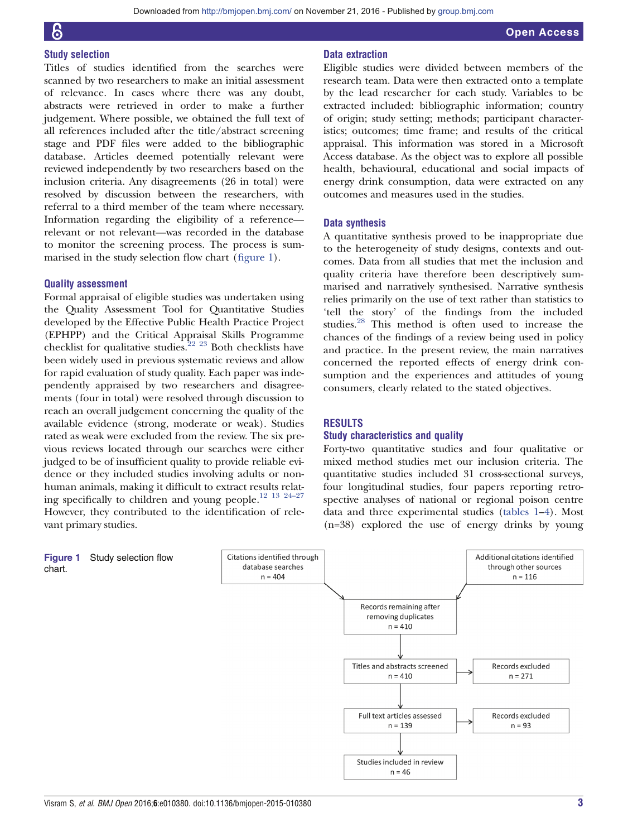# Study selection

Titles of studies identified from the searches were scanned by two researchers to make an initial assessment of relevance. In cases where there was any doubt, abstracts were retrieved in order to make a further judgement. Where possible, we obtained the full text of all references included after the title/abstract screening stage and PDF files were added to the bibliographic database. Articles deemed potentially relevant were reviewed independently by two researchers based on the inclusion criteria. Any disagreements (26 in total) were resolved by discussion between the researchers, with referral to a third member of the team where necessary. Information regarding the eligibility of a reference relevant or not relevant—was recorded in the database to monitor the screening process. The process is summarised in the study selection flow chart (figure 1).

# Quality assessment

Formal appraisal of eligible studies was undertaken using the Quality Assessment Tool for Quantitative Studies developed by the Effective Public Health Practice Project (EPHPP) and the Critical Appraisal Skills Programme checklist for qualitative studies.[22 23](#page-21-0) Both checklists have been widely used in previous systematic reviews and allow for rapid evaluation of study quality. Each paper was independently appraised by two researchers and disagreements (four in total) were resolved through discussion to reach an overall judgement concerning the quality of the available evidence (strong, moderate or weak). Studies rated as weak were excluded from the review. The six previous reviews located through our searches were either judged to be of insufficient quality to provide reliable evidence or they included studies involving adults or nonhuman animals, making it difficult to extract results relating specifically to children and young people[.12 13 24](#page-21-0)–<sup>27</sup> However, they contributed to the identification of relevant primary studies.

# Data extraction

Eligible studies were divided between members of the research team. Data were then extracted onto a template by the lead researcher for each study. Variables to be extracted included: bibliographic information; country of origin; study setting; methods; participant characteristics; outcomes; time frame; and results of the critical appraisal. This information was stored in a Microsoft Access database. As the object was to explore all possible health, behavioural, educational and social impacts of energy drink consumption, data were extracted on any outcomes and measures used in the studies.

# Data synthesis

A quantitative synthesis proved to be inappropriate due to the heterogeneity of study designs, contexts and outcomes. Data from all studies that met the inclusion and quality criteria have therefore been descriptively summarised and narratively synthesised. Narrative synthesis relies primarily on the use of text rather than statistics to 'tell the story' of the findings from the included studies.[28](#page-21-0) This method is often used to increase the chances of the findings of a review being used in policy and practice. In the present review, the main narratives concerned the reported effects of energy drink consumption and the experiences and attitudes of young consumers, clearly related to the stated objectives.

# RESULTS

# Study characteristics and quality

Forty-two quantitative studies and four qualitative or mixed method studies met our inclusion criteria. The quantitative studies included 31 cross-sectional surveys, four longitudinal studies, four papers reporting retrospective analyses of national or regional poison centre data and three experimental studies [\(tables 1](#page-3-0)–[4](#page-15-0)). Most (n=38) explored the use of energy drinks by young

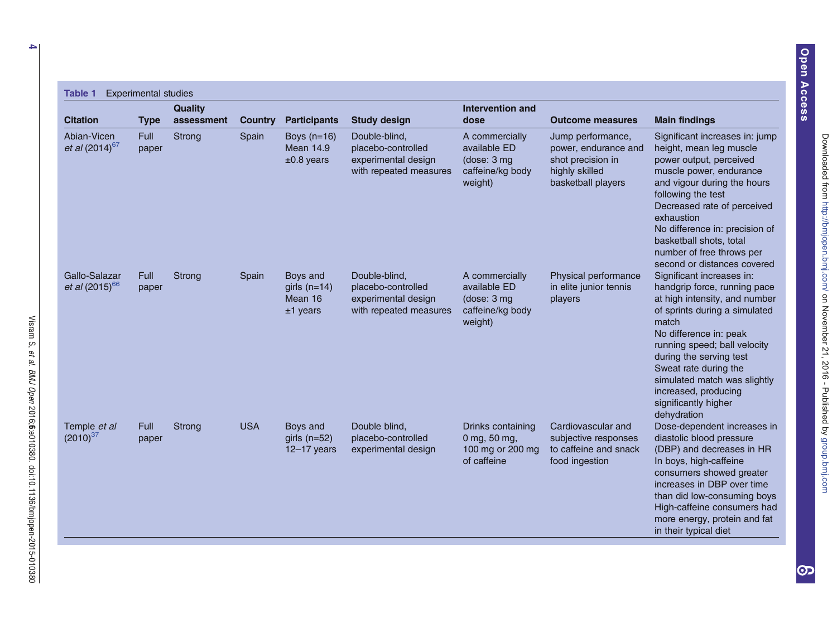<span id="page-3-0"></span>

| <b>Citation</b>                             | <b>Type</b>          | <b>Quality</b><br>assessment | <b>Country</b> | <b>Participants</b>                                 | <b>Study design</b>                                                                  | Intervention and<br>dose                                                      | <b>Outcome measures</b>                                                                                | <b>Main findings</b>                                                                                                                                                                                                                                                                                                                              |
|---------------------------------------------|----------------------|------------------------------|----------------|-----------------------------------------------------|--------------------------------------------------------------------------------------|-------------------------------------------------------------------------------|--------------------------------------------------------------------------------------------------------|---------------------------------------------------------------------------------------------------------------------------------------------------------------------------------------------------------------------------------------------------------------------------------------------------------------------------------------------------|
| Abian-Vicen<br>et al $(2014)^{67}$          | <b>Full</b><br>paper | Strong                       | Spain          | Boys $(n=16)$<br><b>Mean 14.9</b><br>$±0.8$ years   | Double-blind,<br>placebo-controlled<br>experimental design<br>with repeated measures | A commercially<br>available ED<br>(dose: 3 mg)<br>caffeine/kg body<br>weight) | Jump performance,<br>power, endurance and<br>shot precision in<br>highly skilled<br>basketball players | Significant increases in: jump<br>height, mean leg muscle<br>power output, perceived<br>muscle power, endurance<br>and vigour during the hours<br>following the test<br>Decreased rate of perceived<br>exhaustion<br>No difference in: precision of<br>basketball shots, total<br>number of free throws per<br>second or distances covered        |
| Gallo-Salazar<br><i>et al</i> $(2015)^{66}$ | <b>Full</b><br>paper | Strong                       | Spain          | Boys and<br>girls $(n=14)$<br>Mean 16<br>$±1$ years | Double-blind,<br>placebo-controlled<br>experimental design<br>with repeated measures | A commercially<br>available ED<br>(dose: 3 mg)<br>caffeine/kg body<br>weight) | Physical performance<br>in elite junior tennis<br>players                                              | Significant increases in:<br>handgrip force, running pace<br>at high intensity, and number<br>of sprints during a simulated<br>match<br>No difference in: peak<br>running speed; ball velocity<br>during the serving test<br>Sweat rate during the<br>simulated match was slightly<br>increased, producing<br>significantly higher<br>dehydration |
| Temple <i>et al</i><br>$(2010)^{37}$        | <b>Full</b><br>paper | Strong                       | <b>USA</b>     | Boys and<br>girls $(n=52)$<br>$12-17$ years         | Double blind.<br>placebo-controlled<br>experimental design                           | Drinks containing<br>0 mg, 50 mg,<br>100 mg or 200 mg<br>of caffeine          | Cardiovascular and<br>subjective responses<br>to caffeine and snack<br>food ingestion                  | Dose-dependent increases in<br>diastolic blood pressure<br>(DBP) and decreases in HR<br>In boys, high-caffeine<br>consumers showed greater<br>increases in DBP over time<br>than did low-consuming boys<br>High-caffeine consumers had<br>more energy, protein and fat<br>in their typical diet                                                   |

et al.

BMJ Open

2016;6:e010380.

doi:10.1136/bmjopen-2015-010380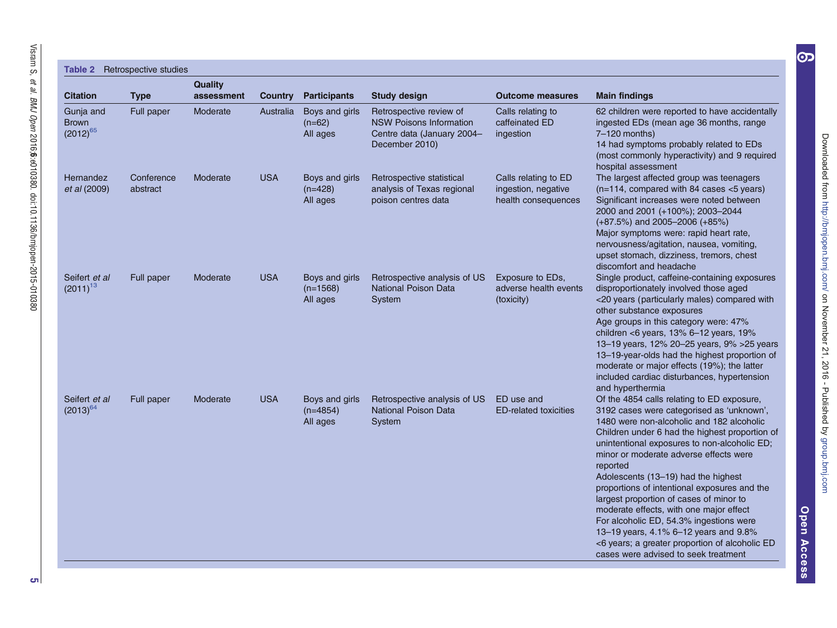|                                            | Table 2 Retrospective studies |                              |            |                                          |                                                                                                           |                                                                    |                                                                                                                                                                                                                                                                                                                                                                                                                                                                                                                                                                                                                                                         |
|--------------------------------------------|-------------------------------|------------------------------|------------|------------------------------------------|-----------------------------------------------------------------------------------------------------------|--------------------------------------------------------------------|---------------------------------------------------------------------------------------------------------------------------------------------------------------------------------------------------------------------------------------------------------------------------------------------------------------------------------------------------------------------------------------------------------------------------------------------------------------------------------------------------------------------------------------------------------------------------------------------------------------------------------------------------------|
| <b>Citation</b>                            | <b>Type</b>                   | <b>Quality</b><br>assessment | Country    | <b>Participants</b>                      | <b>Study design</b>                                                                                       | <b>Outcome measures</b>                                            | <b>Main findings</b>                                                                                                                                                                                                                                                                                                                                                                                                                                                                                                                                                                                                                                    |
| Gunja and<br><b>Brown</b><br>$(2012)^{65}$ | Full paper                    | Moderate                     | Australia  | Boys and girls<br>$(n=62)$<br>All ages   | Retrospective review of<br><b>NSW Poisons Information</b><br>Centre data (January 2004-<br>December 2010) | Calls relating to<br>caffeinated ED<br>ingestion                   | 62 children were reported to have accidentally<br>ingested EDs (mean age 36 months, range<br>7-120 months)<br>14 had symptoms probably related to EDs<br>(most commonly hyperactivity) and 9 required<br>hospital assessment                                                                                                                                                                                                                                                                                                                                                                                                                            |
| Hernandez<br>et al (2009)                  | Conference<br>abstract        | Moderate                     | <b>USA</b> | Boys and girls<br>$(n=428)$<br>All ages  | Retrospective statistical<br>analysis of Texas regional<br>poison centres data                            | Calls relating to ED<br>ingestion, negative<br>health consequences | The largest affected group was teenagers<br>(n=114, compared with 84 cases <5 years)<br>Significant increases were noted between<br>2000 and 2001 (+100%); 2003-2044<br>$(+87.5%)$ and 2005-2006 $(+85%)$<br>Major symptoms were: rapid heart rate,<br>nervousness/agitation, nausea, vomiting,<br>upset stomach, dizziness, tremors, chest<br>discomfort and headache                                                                                                                                                                                                                                                                                  |
| Seifert et al<br>$(2011)^{13}$             | Full paper                    | Moderate                     | <b>USA</b> | Boys and girls<br>$(n=1568)$<br>All ages | Retrospective analysis of US<br><b>National Poison Data</b><br>System                                     | Exposure to EDs.<br>adverse health events<br>(toxicity)            | Single product, caffeine-containing exposures<br>disproportionately involved those aged<br><20 years (particularly males) compared with<br>other substance exposures<br>Age groups in this category were: 47%<br>children <6 years, $13\%$ 6-12 years, $19\%$<br>13-19 years, 12% 20-25 years, 9% > 25 years<br>13-19-year-olds had the highest proportion of<br>moderate or major effects (19%); the latter<br>included cardiac disturbances, hypertension<br>and hyperthermia                                                                                                                                                                         |
| Seifert et al<br>$(2013)^{64}$             | Full paper                    | Moderate                     | <b>USA</b> | Boys and girls<br>$(n=4854)$<br>All ages | Retrospective analysis of US<br>National Poison Data<br>System                                            | ED use and<br><b>ED-related toxicities</b>                         | Of the 4854 calls relating to ED exposure,<br>3192 cases were categorised as 'unknown',<br>1480 were non-alcoholic and 182 alcoholic<br>Children under 6 had the highest proportion of<br>unintentional exposures to non-alcoholic ED;<br>minor or moderate adverse effects were<br>reported<br>Adolescents (13-19) had the highest<br>proportions of intentional exposures and the<br>largest proportion of cases of minor to<br>moderate effects, with one major effect<br>For alcoholic ED, 54.3% ingestions were<br>13-19 years, 4.1% 6-12 years and 9.8%<br><6 years; a greater proportion of alcoholic ED<br>cases were advised to seek treatment |

[JURXSEPMFRP](http://group.bmj.com) RDN RDN RDN RDN RDN RDN ASOLV (SOLV) 'RZQORDGHGIURP 'RZQORDGHGIURP 'RZQORDGHGIURP 'RZQORDGHGIURP '

Downloaded from http://bmjopen.bmj.com/ on November 21, 2016 - Published by group.bmj.com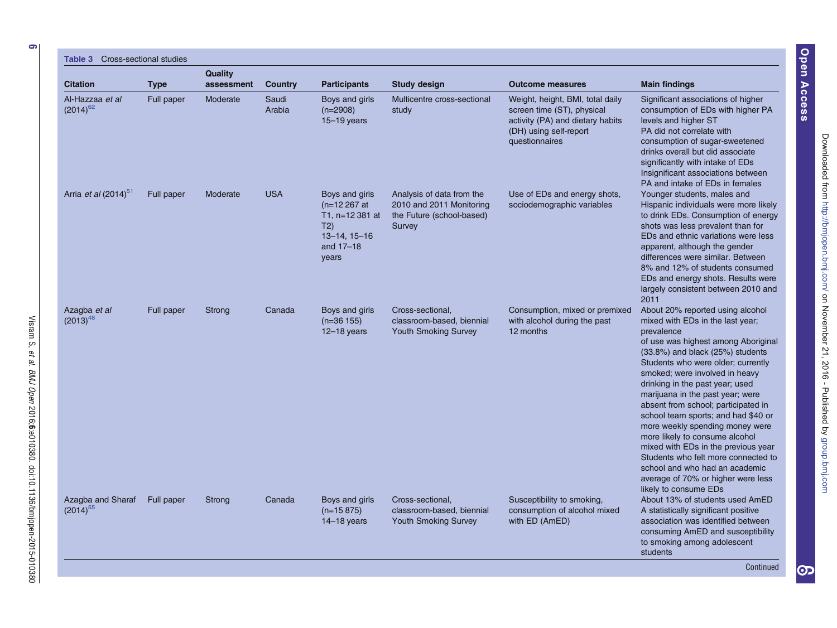6

Visram S,

et al.

BMJ Open

2016;6:e010380.

doi:10.1136/bmjopen-2015-010380

# $T<sub>ab</sub>$   $\approx$   $\sim$

| <b>Citation</b>                    | <b>Type</b> | Quality<br>assessment | Country         | <b>Participants</b>                                                                                       | Study design                                                                                 | <b>Outcome measures</b>                                                                                                                        | <b>Main findings</b>                                                                                                                                                                                                                                                                                                                                                                                                                                                                                                                                                                                                                           |
|------------------------------------|-------------|-----------------------|-----------------|-----------------------------------------------------------------------------------------------------------|----------------------------------------------------------------------------------------------|------------------------------------------------------------------------------------------------------------------------------------------------|------------------------------------------------------------------------------------------------------------------------------------------------------------------------------------------------------------------------------------------------------------------------------------------------------------------------------------------------------------------------------------------------------------------------------------------------------------------------------------------------------------------------------------------------------------------------------------------------------------------------------------------------|
| Al-Hazzaa et al<br>$(2014)^{62}$   | Full paper  | Moderate              | Saudi<br>Arabia | Boys and girls<br>$(n=2908)$<br>$15 - 19$ years                                                           | Multicentre cross-sectional<br>study                                                         | Weight, height, BMI, total daily<br>screen time (ST), physical<br>activity (PA) and dietary habits<br>(DH) using self-report<br>questionnaires | Significant associations of higher<br>consumption of EDs with higher PA<br>levels and higher ST<br>PA did not correlate with<br>consumption of sugar-sweetened<br>drinks overall but did associate<br>significantly with intake of EDs<br>Insignificant associations between<br>PA and intake of EDs in females                                                                                                                                                                                                                                                                                                                                |
| Arria et al (2014) <sup>51</sup>   | Full paper  | Moderate              | <b>USA</b>      | Boys and girls<br>$(n=12267)$ at<br>T1, n=12 381 at<br>T2)<br>$13 - 14$ , $15 - 16$<br>and 17-18<br>years | Analysis of data from the<br>2010 and 2011 Monitoring<br>the Future (school-based)<br>Survey | Use of EDs and energy shots,<br>sociodemographic variables                                                                                     | Younger students, males and<br>Hispanic individuals were more likely<br>to drink EDs. Consumption of energy<br>shots was less prevalent than for<br>EDs and ethnic variations were less<br>apparent, although the gender<br>differences were similar. Between<br>8% and 12% of students consumed<br>EDs and energy shots. Results were<br>largely consistent between 2010 and<br>2011                                                                                                                                                                                                                                                          |
| Azagba et al<br>$(2013)^{48}$      | Full paper  | Strong                | Canada          | Boys and girls<br>$(n=36 155)$<br>$12-18$ years                                                           | Cross-sectional,<br>classroom-based, biennial<br><b>Youth Smoking Survey</b>                 | Consumption, mixed or premixed<br>with alcohol during the past<br>12 months                                                                    | About 20% reported using alcohol<br>mixed with EDs in the last year;<br>prevalence<br>of use was highest among Aboriginal<br>(33.8%) and black (25%) students<br>Students who were older; currently<br>smoked; were involved in heavy<br>drinking in the past year; used<br>marijuana in the past year; were<br>absent from school; participated in<br>school team sports; and had \$40 or<br>more weekly spending money were<br>more likely to consume alcohol<br>mixed with EDs in the previous year<br>Students who felt more connected to<br>school and who had an academic<br>average of 70% or higher were less<br>likely to consume EDs |
| Azagba and Sharaf<br>$(2014)^{55}$ | Full paper  | Strong                | Canada          | Boys and girls<br>$(n=15 875)$<br>$14-18$ years                                                           | Cross-sectional.<br>classroom-based, biennial<br><b>Youth Smoking Survey</b>                 | Susceptibility to smoking,<br>consumption of alcohol mixed<br>with ED (AmED)                                                                   | About 13% of students used AmED<br>A statistically significant positive<br>association was identified between<br>consuming AmED and susceptibility<br>to smoking among adolescent<br>students<br>Continued                                                                                                                                                                                                                                                                                                                                                                                                                                     |

Downloaded from http://bmjopen.bmj.com/ on November 21, 2016 - Published by group.bmj.com [JURXSEPMFRP](http://group.bmj.com) RDN RDN RDN RDN RDN RDN ASOLV (SOLV) 'RZQORDGHGIURP 'RZQORDGHGIURP 'RZQORDGHGIURP 'RZQORDGHGIURP '

Open Access Access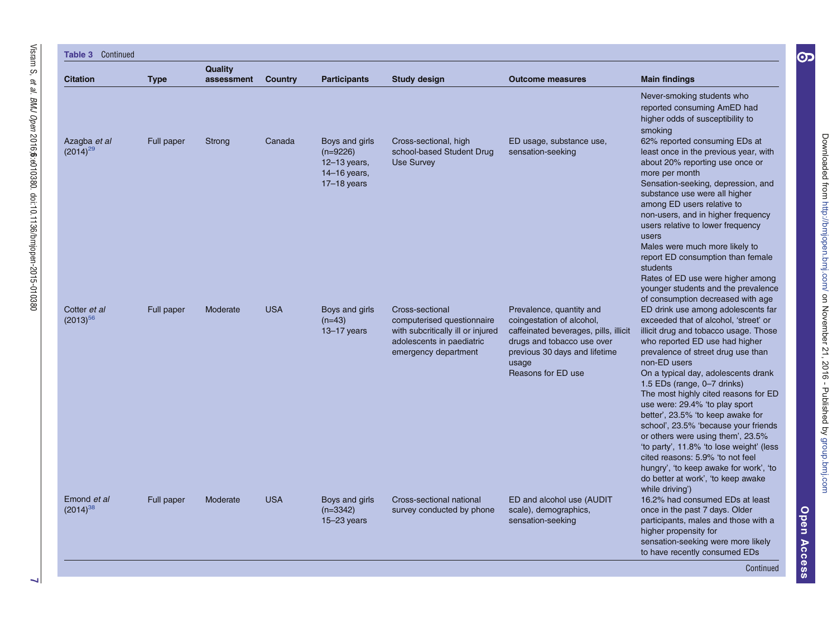| <b>Table 3 Continued</b>      |             |                              |                |                                                                               |                                                                                                                                         |                                                                                                                                                                                              |                                                                                                                                                                                                                                                                                                                                                                                                                                                                                                                                                                                                                                                                                                        |  |  |  |
|-------------------------------|-------------|------------------------------|----------------|-------------------------------------------------------------------------------|-----------------------------------------------------------------------------------------------------------------------------------------|----------------------------------------------------------------------------------------------------------------------------------------------------------------------------------------------|--------------------------------------------------------------------------------------------------------------------------------------------------------------------------------------------------------------------------------------------------------------------------------------------------------------------------------------------------------------------------------------------------------------------------------------------------------------------------------------------------------------------------------------------------------------------------------------------------------------------------------------------------------------------------------------------------------|--|--|--|
| <b>Citation</b>               | <b>Type</b> | <b>Quality</b><br>assessment | <b>Country</b> | <b>Participants</b>                                                           | Study design                                                                                                                            | <b>Outcome measures</b>                                                                                                                                                                      | <b>Main findings</b>                                                                                                                                                                                                                                                                                                                                                                                                                                                                                                                                                                                                                                                                                   |  |  |  |
|                               |             |                              |                |                                                                               |                                                                                                                                         |                                                                                                                                                                                              | Never-smoking students who<br>reported consuming AmED had<br>higher odds of susceptibility to<br>smoking                                                                                                                                                                                                                                                                                                                                                                                                                                                                                                                                                                                               |  |  |  |
| Azagba et al<br>$(2014)^{29}$ | Full paper  | Strong                       | Canada         | Boys and girls<br>$(n=9226)$<br>12-13 years,<br>14-16 years,<br>$17-18$ years | Cross-sectional, high<br>school-based Student Drug<br><b>Use Survey</b>                                                                 | ED usage, substance use,<br>sensation-seeking                                                                                                                                                | 62% reported consuming EDs at<br>least once in the previous year, with<br>about 20% reporting use once or<br>more per month<br>Sensation-seeking, depression, and<br>substance use were all higher<br>among ED users relative to<br>non-users, and in higher frequency<br>users relative to lower frequency<br>users<br>Males were much more likely to<br>report ED consumption than female<br>students<br>Rates of ED use were higher among<br>younger students and the prevalence                                                                                                                                                                                                                    |  |  |  |
| Cotter et al<br>$(2013)^{56}$ | Full paper  | Moderate                     | <b>USA</b>     | Boys and girls<br>$(n=43)$<br>$13 - 17$ years                                 | Cross-sectional<br>computerised questionnaire<br>with subcritically ill or injured<br>adolescents in paediatric<br>emergency department | Prevalence, quantity and<br>coingestation of alcohol,<br>caffeinated beverages, pills, illicit<br>drugs and tobacco use over<br>previous 30 days and lifetime<br>usage<br>Reasons for ED use | of consumption decreased with age<br>ED drink use among adolescents far<br>exceeded that of alcohol, 'street' or<br>illicit drug and tobacco usage. Those<br>who reported ED use had higher<br>prevalence of street drug use than<br>non-ED users<br>On a typical day, adolescents drank<br>1.5 EDs (range, 0-7 drinks)<br>The most highly cited reasons for ED<br>use were: 29.4% 'to play sport<br>better', 23.5% 'to keep awake for<br>school', 23.5% 'because your friends<br>or others were using them', 23.5%<br>'to party', 11.8% 'to lose weight' (less<br>cited reasons: 5.9% 'to not feel<br>hungry', 'to keep awake for work', 'to<br>do better at work', 'to keep awake<br>while driving') |  |  |  |
| Emond et al<br>$(2014)^{38}$  | Full paper  | Moderate                     | <b>USA</b>     | Boys and girls<br>$(n=3342)$<br>$15 - 23$ years                               | Cross-sectional national<br>survey conducted by phone                                                                                   | ED and alcohol use (AUDIT<br>scale), demographics,<br>sensation-seeking                                                                                                                      | 16.2% had consumed EDs at least<br>once in the past 7 days. Older<br>participants, males and those with a<br>higher propensity for<br>sensation-seeking were more likely<br>to have recently consumed EDs                                                                                                                                                                                                                                                                                                                                                                                                                                                                                              |  |  |  |

OpenAccess

[JURXSEPMFRP](http://group.bmj.com) RDN RDN RDN RDN RDN RDN ASOLV (SOLV) 'RZQORDGHGIURP 'RZQORDGHGIURP 'RZQORDGHGIURP 'RZQORDGHGIURP '

Downloaded from http://bmjopen.bmj.com/ on November 21, 2016 - Published by group.bmj.com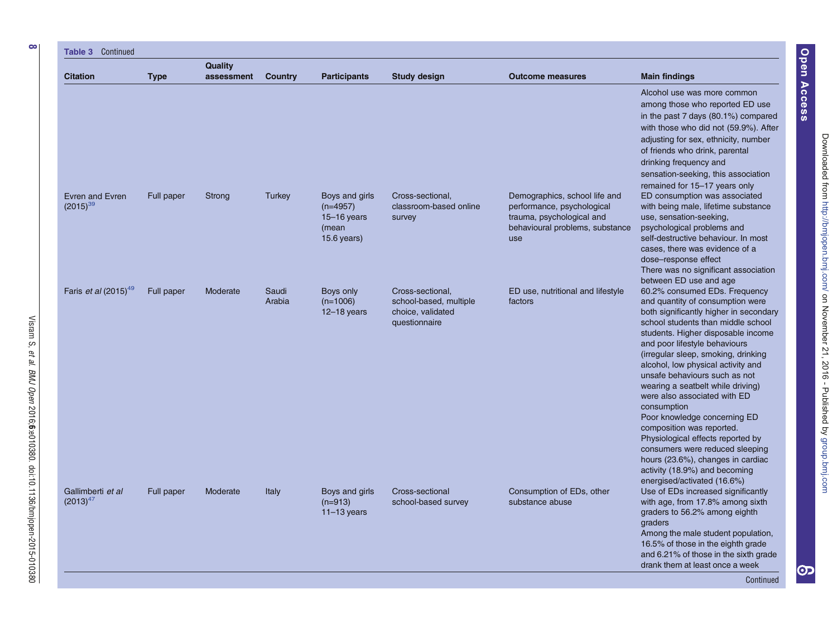| Table 3 Continued                       |             |                       |                 |                                                                           |                                                                                  |                                                                                                                                    |                                                                                                                                                                                                                                                                                                                                                                                                                                                                                                                                                                                                                                                                      |  |  |  |  |
|-----------------------------------------|-------------|-----------------------|-----------------|---------------------------------------------------------------------------|----------------------------------------------------------------------------------|------------------------------------------------------------------------------------------------------------------------------------|----------------------------------------------------------------------------------------------------------------------------------------------------------------------------------------------------------------------------------------------------------------------------------------------------------------------------------------------------------------------------------------------------------------------------------------------------------------------------------------------------------------------------------------------------------------------------------------------------------------------------------------------------------------------|--|--|--|--|
| <b>Citation</b>                         | <b>Type</b> | Quality<br>assessment | Country         | <b>Participants</b>                                                       | <b>Study design</b>                                                              | <b>Outcome measures</b>                                                                                                            | <b>Main findings</b>                                                                                                                                                                                                                                                                                                                                                                                                                                                                                                                                                                                                                                                 |  |  |  |  |
|                                         |             |                       |                 |                                                                           |                                                                                  |                                                                                                                                    | Alcohol use was more common<br>among those who reported ED use<br>in the past 7 days (80.1%) compared<br>with those who did not (59.9%). After<br>adjusting for sex, ethnicity, number<br>of friends who drink, parental<br>drinking frequency and<br>sensation-seeking, this association<br>remained for 15-17 years only                                                                                                                                                                                                                                                                                                                                           |  |  |  |  |
| Evren and Evren<br>$(2015)^{39}$        | Full paper  | Strong                | <b>Turkey</b>   | Boys and girls<br>$(n=4957)$<br>$15 - 16$ years<br>(mean<br>$15.6$ years) | Cross-sectional,<br>classroom-based online<br>survey                             | Demographics, school life and<br>performance, psychological<br>trauma, psychological and<br>behavioural problems, substance<br>use | ED consumption was associated<br>with being male, lifetime substance<br>use, sensation-seeking,<br>psychological problems and<br>self-destructive behaviour. In most<br>cases, there was evidence of a<br>dose-response effect<br>There was no significant association<br>between ED use and age                                                                                                                                                                                                                                                                                                                                                                     |  |  |  |  |
| Faris <i>et al</i> (2015) <sup>49</sup> | Full paper  | Moderate              | Saudi<br>Arabia | Boys only<br>$(n=1006)$<br>$12-18$ years                                  | Cross-sectional,<br>school-based, multiple<br>choice, validated<br>questionnaire | ED use, nutritional and lifestyle<br>factors                                                                                       | 60.2% consumed EDs. Frequency<br>and quantity of consumption were<br>both significantly higher in secondary<br>school students than middle school<br>students. Higher disposable income<br>and poor lifestyle behaviours<br>(irregular sleep, smoking, drinking<br>alcohol, low physical activity and<br>unsafe behaviours such as not<br>wearing a seatbelt while driving)<br>were also associated with ED<br>consumption<br>Poor knowledge concerning ED<br>composition was reported.<br>Physiological effects reported by<br>consumers were reduced sleeping<br>hours (23.6%), changes in cardiac<br>activity (18.9%) and becoming<br>energised/activated (16.6%) |  |  |  |  |
| Gallimberti et al<br>$(2013)^{47}$      | Full paper  | Moderate              | Italy           | Boys and girls<br>$(n=913)$<br>$11-13$ years                              | Cross-sectional<br>school-based survey                                           | Consumption of EDs, other<br>substance abuse                                                                                       | Use of EDs increased significantly<br>with age, from 17.8% among sixth<br>graders to 56.2% among eighth<br>graders<br>Among the male student population,<br>16.5% of those in the eighth grade<br>and 6.21% of those in the sixth grade<br>drank them at least once a week<br>Continued                                                                                                                                                                                                                                                                                                                                                                              |  |  |  |  |

et al.

BMJ Open

2016;6:e010380.

doi:10.1136/bmjopen-2015-010380

Open Access Access

စာ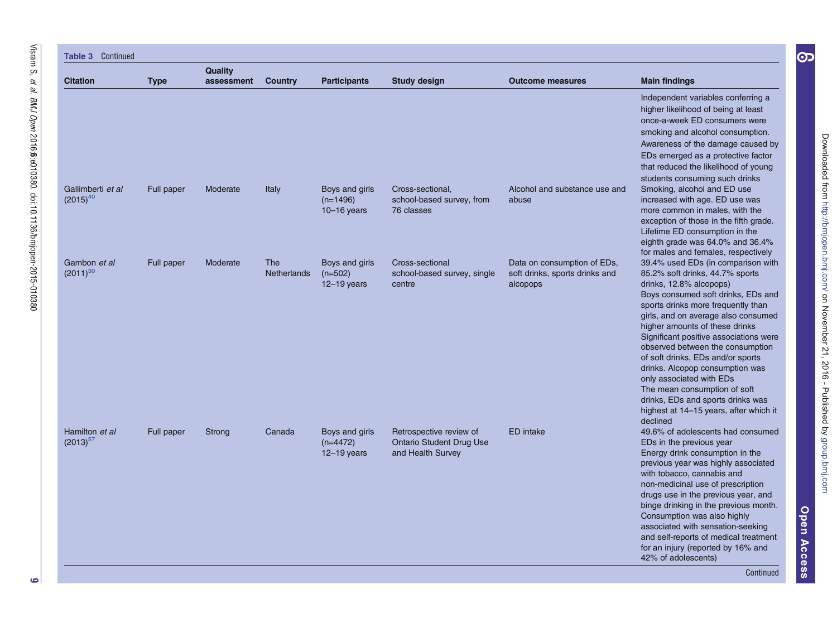| <b>Table 3 Continued</b>           |             |                              |                                  |                                                 |                                                                                 |                                                                           |                                                                                                                                                                                                                                                                                                                                                                                                                                                                                                                                                                    |  |  |  |
|------------------------------------|-------------|------------------------------|----------------------------------|-------------------------------------------------|---------------------------------------------------------------------------------|---------------------------------------------------------------------------|--------------------------------------------------------------------------------------------------------------------------------------------------------------------------------------------------------------------------------------------------------------------------------------------------------------------------------------------------------------------------------------------------------------------------------------------------------------------------------------------------------------------------------------------------------------------|--|--|--|
| <b>Citation</b>                    | <b>Type</b> | <b>Quality</b><br>assessment | <b>Country</b>                   | <b>Participants</b>                             | <b>Study design</b>                                                             | <b>Outcome measures</b>                                                   | <b>Main findings</b>                                                                                                                                                                                                                                                                                                                                                                                                                                                                                                                                               |  |  |  |
|                                    |             |                              |                                  |                                                 |                                                                                 |                                                                           | Independent variables conferring a<br>higher likelihood of being at least<br>once-a-week ED consumers were<br>smoking and alcohol consumption.<br>Awareness of the damage caused by<br>EDs emerged as a protective factor<br>that reduced the likelihood of young<br>students consuming such drinks                                                                                                                                                                                                                                                                |  |  |  |
| Gallimberti et al<br>$(2015)^{40}$ | Full paper  | Moderate                     | Italy                            | Boys and girls<br>$(n=1496)$<br>$10 - 16$ years | Cross-sectional,<br>school-based survey, from<br>76 classes                     | Alcohol and substance use and<br>abuse                                    | Smoking, alcohol and ED use<br>increased with age. ED use was<br>more common in males, with the<br>exception of those in the fifth grade.<br>Lifetime ED consumption in the<br>eighth grade was 64.0% and 36.4%<br>for males and females, respectively                                                                                                                                                                                                                                                                                                             |  |  |  |
| Gambon et al<br>$(2011)^{30}$      | Full paper  | Moderate                     | <b>The</b><br><b>Netherlands</b> | Boys and girls<br>$(n=502)$<br>$12 - 19$ years  | Cross-sectional<br>school-based survey, single<br>centre                        | Data on consumption of EDs,<br>soft drinks, sports drinks and<br>alcopops | 39.4% used EDs (in comparison with<br>85.2% soft drinks, 44.7% sports<br>drinks, 12.8% alcopops)<br>Boys consumed soft drinks, EDs and<br>sports drinks more frequently than<br>girls, and on average also consumed<br>higher amounts of these drinks<br>Significant positive associations were<br>observed between the consumption<br>of soft drinks, EDs and/or sports<br>drinks. Alcopop consumption was<br>only associated with EDs<br>The mean consumption of soft<br>drinks, EDs and sports drinks was<br>highest at 14–15 years, after which it<br>declined |  |  |  |
| Hamilton et al<br>$(2013)^{57}$    | Full paper  | Strong                       | Canada                           | Boys and girls<br>$(n=4472)$<br>$12 - 19$ years | Retrospective review of<br><b>Ontario Student Drug Use</b><br>and Health Survey | <b>ED</b> intake                                                          | 49.6% of adolescents had consumed<br>EDs in the previous year<br>Energy drink consumption in the<br>previous year was highly associated<br>with tobacco, cannabis and<br>non-medicinal use of prescription<br>drugs use in the previous year, and<br>binge drinking in the previous month.<br>Consumption was also highly<br>associated with sensation-seeking<br>and self-reports of medical treatment<br>for an injury (reported by 16% and<br>42% of adolescents)<br>Continued                                                                                  |  |  |  |

 $\bullet$ 

OpenAccess

[JURXSEPMFRP](http://group.bmj.com) RDN RDN RDN RDN RDN RDN ASOLV (SOLV) 'RZQORDGHGIURP 'RZQORDGHGIURP 'RZQORDGHGIURP 'RZQORDGHGIURP '

Downloaded from http://bmjopen.bmj.com/ on November 21, 2016 - Published by group.bmj.com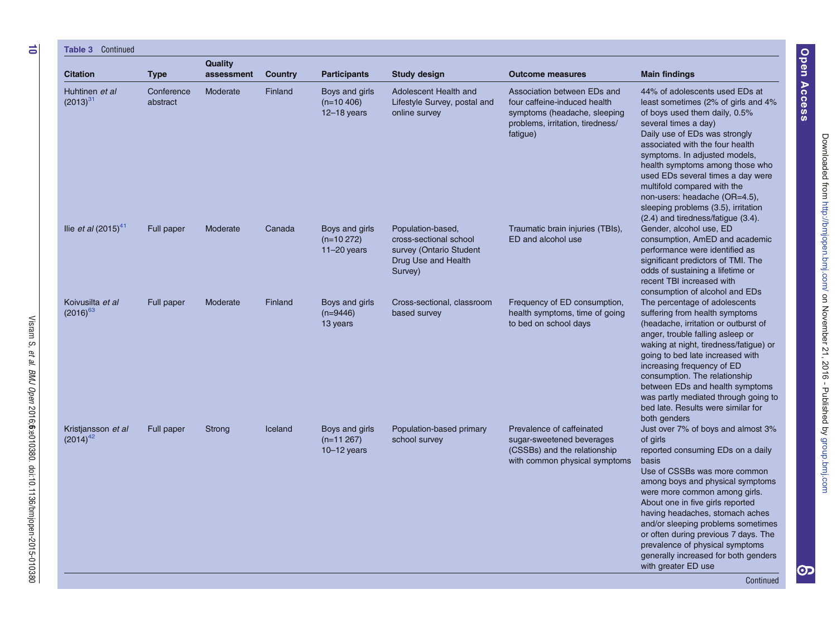| <b>Citation</b>                     | <b>Type</b>            | Quality<br>assessment | Country | <b>Participants</b>                                | <b>Study design</b>                                                                                      | <b>Outcome measures</b>                                                                                                                     | <b>Main findings</b>                                                                                                                                                                                                                                                                                                                                                                                                                                        |
|-------------------------------------|------------------------|-----------------------|---------|----------------------------------------------------|----------------------------------------------------------------------------------------------------------|---------------------------------------------------------------------------------------------------------------------------------------------|-------------------------------------------------------------------------------------------------------------------------------------------------------------------------------------------------------------------------------------------------------------------------------------------------------------------------------------------------------------------------------------------------------------------------------------------------------------|
| Huhtinen et al<br>$(2013)^{31}$     | Conference<br>abstract | Moderate              | Finland | Boys and girls<br>$(n=10, 406)$<br>$12 - 18$ years | Adolescent Health and<br>Lifestyle Survey, postal and<br>online survey                                   | Association between EDs and<br>four caffeine-induced health<br>symptoms (headache, sleeping<br>problems, irritation, tiredness/<br>fatigue) | 44% of adolescents used EDs at<br>least sometimes (2% of girls and 4%<br>of boys used them daily, 0.5%<br>several times a day)<br>Daily use of EDs was strongly<br>associated with the four health<br>symptoms. In adjusted models,<br>health symptoms among those who<br>used EDs several times a day were<br>multifold compared with the<br>non-users: headache (OR=4.5),<br>sleeping problems (3.5), irritation<br>(2.4) and tiredness/fatigue (3.4).    |
| llie <i>et al</i> $(2015)^{41}$     | Full paper             | Moderate              | Canada  | Boys and girls<br>$(n=10 272)$<br>$11-20$ years    | Population-based,<br>cross-sectional school<br>survey (Ontario Student<br>Drug Use and Health<br>Survey) | Traumatic brain injuries (TBIs),<br>ED and alcohol use                                                                                      | Gender, alcohol use, ED<br>consumption, AmED and academic<br>performance were identified as<br>significant predictors of TMI. The<br>odds of sustaining a lifetime or<br>recent TBI increased with                                                                                                                                                                                                                                                          |
| Koivusilta et al<br>$(2016)^{63}$   | Full paper             | Moderate              | Finland | Boys and girls<br>$(n=9446)$<br>13 years           | Cross-sectional, classroom<br>based survey                                                               | Frequency of ED consumption,<br>health symptoms, time of going<br>to bed on school days                                                     | consumption of alcohol and EDs<br>The percentage of adolescents<br>suffering from health symptoms<br>(headache, irritation or outburst of<br>anger, trouble falling asleep or<br>waking at night, tiredness/fatigue) or<br>going to bed late increased with<br>increasing frequency of ED<br>consumption. The relationship<br>between EDs and health symptoms<br>was partly mediated through going to<br>bed late. Results were similar for<br>both genders |
| Kristjansson et al<br>$(2014)^{42}$ | Full paper             | <b>Strong</b>         | Iceland | Boys and girls<br>$(n=11267)$<br>$10-12$ years     | Population-based primary<br>school survey                                                                | Prevalence of caffeinated<br>sugar-sweetened beverages<br>(CSSBs) and the relationship<br>with common physical symptoms                     | Just over 7% of boys and almost 3%<br>of girls<br>reported consuming EDs on a daily<br>basis<br>Use of CSSBs was more common<br>among boys and physical symptoms<br>were more common among girls.<br>About one in five girls reported<br>having headaches, stomach aches<br>and/or sleeping problems sometimes<br>or often during previous 7 days. The<br>prevalence of physical symptoms<br>generally increased for both genders<br>with greater ED use    |

Visram S, et al. BMJ Open 2016;6:e010380. doi:10.1136/bmjopen-2015-010380

 $\overrightarrow{0}$ 

Downloaded from http://bmjopen.bmj.com/ on November 21, 2016 - Published by group.bmj.com [JURXSEPMFRP](http://group.bmj.com) RDN RDN RDN RDN RDN RDN ASOLV (SOLV) 'RZQORDGHGIURP 'RZQORDGHGIURP 'RZQORDGHGIURP 'RZQORDGHGIURP '

Open Access Access

တ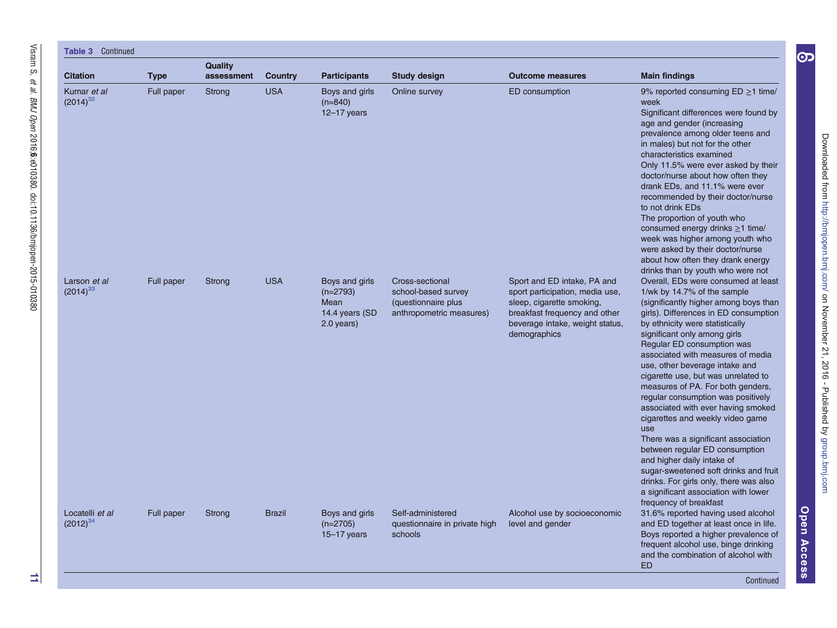| Continued<br>Table 3             |             |                              |                |                                                                      |                                                                                           |                                                                                                                                                                                 |                                                                                                                                                                                                                                                                                                                                                                                                                                                                                                                                                                                                                                                                                                                                                                                             |  |  |  |  |
|----------------------------------|-------------|------------------------------|----------------|----------------------------------------------------------------------|-------------------------------------------------------------------------------------------|---------------------------------------------------------------------------------------------------------------------------------------------------------------------------------|---------------------------------------------------------------------------------------------------------------------------------------------------------------------------------------------------------------------------------------------------------------------------------------------------------------------------------------------------------------------------------------------------------------------------------------------------------------------------------------------------------------------------------------------------------------------------------------------------------------------------------------------------------------------------------------------------------------------------------------------------------------------------------------------|--|--|--|--|
| <b>Citation</b>                  | <b>Type</b> | <b>Quality</b><br>assessment | <b>Country</b> | <b>Participants</b>                                                  | <b>Study design</b>                                                                       | <b>Outcome measures</b>                                                                                                                                                         | <b>Main findings</b>                                                                                                                                                                                                                                                                                                                                                                                                                                                                                                                                                                                                                                                                                                                                                                        |  |  |  |  |
| Kumar et al<br>$(2014)^{32}$     | Full paper  | Strong                       | <b>USA</b>     | Boys and girls<br>$(n=840)$<br>$12 - 17$ years                       | Online survey                                                                             | ED consumption                                                                                                                                                                  | 9% reported consuming $ED \ge 1$ time/<br>week<br>Significant differences were found by<br>age and gender (increasing<br>prevalence among older teens and<br>in males) but not for the other<br>characteristics examined<br>Only 11.5% were ever asked by their<br>doctor/nurse about how often they<br>drank EDs, and 11.1% were ever<br>recommended by their doctor/nurse<br>to not drink EDs<br>The proportion of youth who<br>consumed energy drinks $\geq$ 1 time/<br>week was higher among youth who<br>were asked by their doctor/nurse<br>about how often they drank energy<br>drinks than by youth who were not                                                                                                                                                                    |  |  |  |  |
| Larson et al<br>$(2014)^{33}$    | Full paper  | Strong                       | <b>USA</b>     | Boys and girls<br>$(n=2793)$<br>Mean<br>14.4 years (SD<br>2.0 years) | Cross-sectional<br>school-based survey<br>(questionnaire plus<br>anthropometric measures) | Sport and ED intake, PA and<br>sport participation, media use,<br>sleep, cigarette smoking,<br>breakfast frequency and other<br>beverage intake, weight status,<br>demographics | Overall, EDs were consumed at least<br>1/wk by 14.7% of the sample<br>(significantly higher among boys than<br>girls). Differences in ED consumption<br>by ethnicity were statistically<br>significant only among girls<br>Regular ED consumption was<br>associated with measures of media<br>use, other beverage intake and<br>cigarette use, but was unrelated to<br>measures of PA. For both genders,<br>regular consumption was positively<br>associated with ever having smoked<br>cigarettes and weekly video game<br>use<br>There was a significant association<br>between regular ED consumption<br>and higher daily intake of<br>sugar-sweetened soft drinks and fruit<br>drinks. For girls only, there was also<br>a significant association with lower<br>frequency of breakfast |  |  |  |  |
| Locatelli et al<br>$(2012)^{34}$ | Full paper  | Strong                       | <b>Brazil</b>  | Boys and girls<br>$(n=2705)$<br>$15 - 17$ years                      | Self-administered<br>questionnaire in private high<br>schools                             | Alcohol use by socioeconomic<br>level and gender                                                                                                                                | 31.6% reported having used alcohol<br>and ED together at least once in life.<br>Boys reported a higher prevalence of<br>frequent alcohol use, binge drinking<br>and the combination of alcohol with<br><b>ED</b>                                                                                                                                                                                                                                                                                                                                                                                                                                                                                                                                                                            |  |  |  |  |

Continued

OpenAccess

[JURXSEPMFRP](http://group.bmj.com) RDN RDN RDN RDN RDN RDN ASOLV (SOLV) 'RZQORDGHGIURP 'RZQORDGHGIURP 'RZQORDGHGIURP 'RZQORDGHGIURP '

Downloaded from http://bmjopen.bmj.com/ on November 21, 2016 - Published by group.bmj.com

 $\bigodot$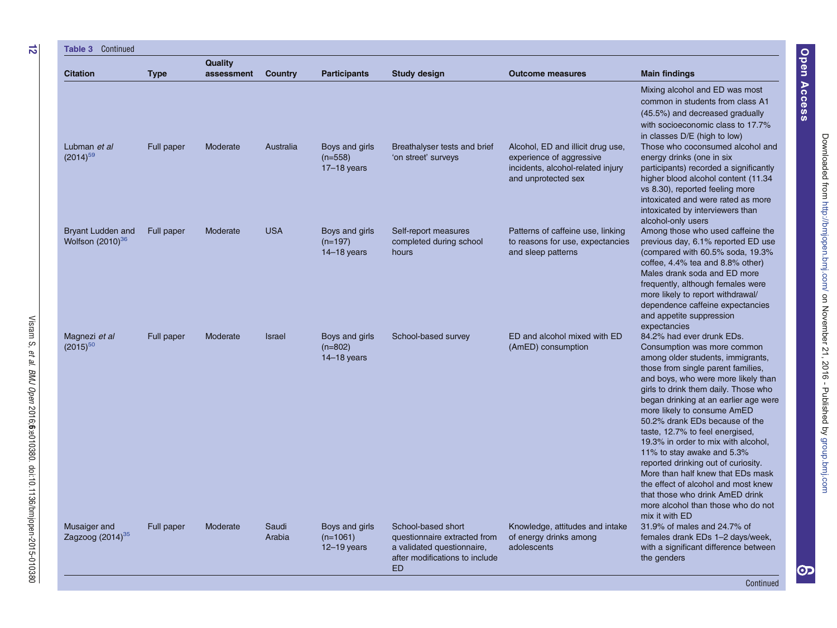| <b>Table 3 Continued</b>                          |             |                       |                 |                                                 |                                                                                                                                 |                                                                                                                           |                                                                                                                                                                                                                                                                                                                                                                                                                                                                                                                                                                                                                                                    |
|---------------------------------------------------|-------------|-----------------------|-----------------|-------------------------------------------------|---------------------------------------------------------------------------------------------------------------------------------|---------------------------------------------------------------------------------------------------------------------------|----------------------------------------------------------------------------------------------------------------------------------------------------------------------------------------------------------------------------------------------------------------------------------------------------------------------------------------------------------------------------------------------------------------------------------------------------------------------------------------------------------------------------------------------------------------------------------------------------------------------------------------------------|
| <b>Citation</b>                                   | <b>Type</b> | Quality<br>assessment | Country         | <b>Participants</b>                             | <b>Study design</b>                                                                                                             | <b>Outcome measures</b>                                                                                                   | <b>Main findings</b>                                                                                                                                                                                                                                                                                                                                                                                                                                                                                                                                                                                                                               |
|                                                   |             |                       |                 |                                                 |                                                                                                                                 |                                                                                                                           | Mixing alcohol and ED was most<br>common in students from class A1<br>(45.5%) and decreased gradually<br>with socioeconomic class to 17.7%<br>in classes D/E (high to low)                                                                                                                                                                                                                                                                                                                                                                                                                                                                         |
| Lubman et al<br>$(2014)^{59}$                     | Full paper  | Moderate              | Australia       | Boys and girls<br>$(n=558)$<br>$17-18$ years    | Breathalyser tests and brief<br>'on street' surveys                                                                             | Alcohol, ED and illicit drug use,<br>experience of aggressive<br>incidents, alcohol-related injury<br>and unprotected sex | Those who coconsumed alcohol and<br>energy drinks (one in six<br>participants) recorded a significantly<br>higher blood alcohol content (11.34<br>vs 8.30), reported feeling more<br>intoxicated and were rated as more<br>intoxicated by interviewers than<br>alcohol-only users                                                                                                                                                                                                                                                                                                                                                                  |
| <b>Bryant Ludden and</b><br>Wolfson $(2010)^{36}$ | Full paper  | Moderate              | <b>USA</b>      | Boys and girls<br>$(n=197)$<br>$14-18$ years    | Self-report measures<br>completed during school<br>hours                                                                        | Patterns of caffeine use, linking<br>to reasons for use, expectancies<br>and sleep patterns                               | Among those who used caffeine the<br>previous day, 6.1% reported ED use<br>(compared with 60.5% soda, 19.3%<br>coffee, 4.4% tea and 8.8% other)<br>Males drank soda and ED more<br>frequently, although females were<br>more likely to report withdrawal/<br>dependence caffeine expectancies<br>and appetite suppression<br>expectancies                                                                                                                                                                                                                                                                                                          |
| Magnezi et al<br>$(2015)^{50}$                    | Full paper  | Moderate              | <b>Israel</b>   | Boys and girls<br>$(n=802)$<br>$14-18$ years    | School-based survey                                                                                                             | ED and alcohol mixed with ED<br>(AmED) consumption                                                                        | 84.2% had ever drunk EDs.<br>Consumption was more common<br>among older students, immigrants,<br>those from single parent families,<br>and boys, who were more likely than<br>girls to drink them daily. Those who<br>began drinking at an earlier age were<br>more likely to consume AmED<br>50.2% drank EDs because of the<br>taste, 12.7% to feel energised,<br>19.3% in order to mix with alcohol.<br>11% to stay awake and 5.3%<br>reported drinking out of curiosity.<br>More than half knew that EDs mask<br>the effect of alcohol and most knew<br>that those who drink AmED drink<br>more alcohol than those who do not<br>mix it with ED |
| Musaiger and<br>Zagzoog $(2014)^{35}$             | Full paper  | Moderate              | Saudi<br>Arabia | Boys and girls<br>$(n=1061)$<br>$12 - 19$ years | School-based short<br>questionnaire extracted from<br>a validated questionnaire,<br>after modifications to include<br><b>ED</b> | Knowledge, attitudes and intake<br>of energy drinks among<br>adolescents                                                  | 31.9% of males and 24.7% of<br>females drank EDs 1-2 days/week,<br>with a significant difference between<br>the genders                                                                                                                                                                                                                                                                                                                                                                                                                                                                                                                            |

et al.

BMJ Open

2016;6:e010380.

doi:10.1136/bmjopen-2015-010380

Open Access Access

Continued

တ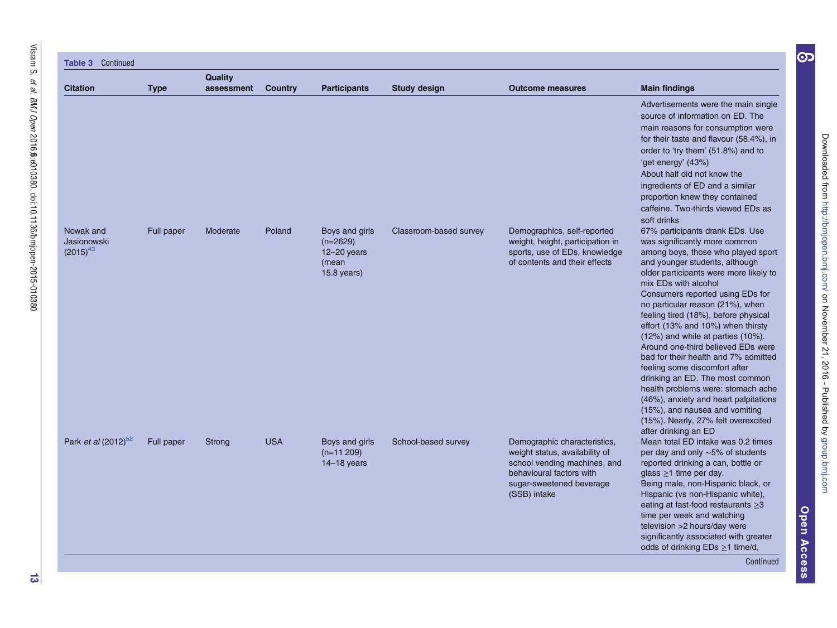| Continued<br>Table 3                      |             |                       |                |                                                                           |                        |                                                                                                                                                                        |                                                                                                                                                                                                                                                                                                                                                                                                                                                                                                                                                                                                                                                                                                                                        |
|-------------------------------------------|-------------|-----------------------|----------------|---------------------------------------------------------------------------|------------------------|------------------------------------------------------------------------------------------------------------------------------------------------------------------------|----------------------------------------------------------------------------------------------------------------------------------------------------------------------------------------------------------------------------------------------------------------------------------------------------------------------------------------------------------------------------------------------------------------------------------------------------------------------------------------------------------------------------------------------------------------------------------------------------------------------------------------------------------------------------------------------------------------------------------------|
| <b>Citation</b>                           | <b>Type</b> | Quality<br>assessment | <b>Country</b> | <b>Participants</b>                                                       | <b>Study design</b>    | <b>Outcome measures</b>                                                                                                                                                | <b>Main findings</b>                                                                                                                                                                                                                                                                                                                                                                                                                                                                                                                                                                                                                                                                                                                   |
|                                           |             |                       |                |                                                                           |                        |                                                                                                                                                                        | Advertisements were the main single<br>source of information on ED. The<br>main reasons for consumption were<br>for their taste and flavour (58.4%), in<br>order to 'try them' (51.8%) and to<br>'get energy' (43%)<br>About half did not know the<br>ingredients of ED and a similar<br>proportion knew they contained<br>caffeine. Two-thirds viewed EDs as<br>soft drinks                                                                                                                                                                                                                                                                                                                                                           |
| Nowak and<br>Jasionowski<br>$(2015)^{43}$ | Full paper  | Moderate              | Poland         | Boys and girls<br>$(n=2629)$<br>$12 - 20$ years<br>(mean<br>$15.8$ years) | Classroom-based survey | Demographics, self-reported<br>weight, height, participation in<br>sports, use of EDs, knowledge<br>of contents and their effects                                      | 67% participants drank EDs. Use<br>was significantly more common<br>among boys, those who played sport<br>and younger students, although<br>older participants were more likely to<br>mix EDs with alcohol<br>Consumers reported using EDs for<br>no particular reason (21%), when<br>feeling tired (18%), before physical<br>effort (13% and 10%) when thirsty<br>(12%) and while at parties (10%).<br>Around one-third believed EDs were<br>bad for their health and 7% admitted<br>feeling some discomfort after<br>drinking an ED. The most common<br>health problems were: stomach ache<br>(46%), anxiety and heart palpitations<br>(15%), and nausea and vomiting<br>(15%). Nearly, 27% felt overexcited<br>after drinking an ED |
| Park <i>et al</i> (2012) <sup>52</sup>    | Full paper  | Strong                | <b>USA</b>     | Boys and girls<br>$(n=11 209)$<br>$14-18$ years                           | School-based survey    | Demographic characteristics,<br>weight status, availability of<br>school vending machines, and<br>behavioural factors with<br>sugar-sweetened beverage<br>(SSB) intake | Mean total ED intake was 0.2 times<br>per day and only $\sim$ 5% of students<br>reported drinking a can, bottle or<br>glass $\geq$ 1 time per day.<br>Being male, non-Hispanic black, or<br>Hispanic (vs non-Hispanic white),<br>eating at fast-food restaurants $\geq 3$<br>time per week and watching<br>television > 2 hours/day were<br>significantly associated with greater<br>odds of drinking EDs ≥1 time/d,<br>Continued                                                                                                                                                                                                                                                                                                      |

Open Access Access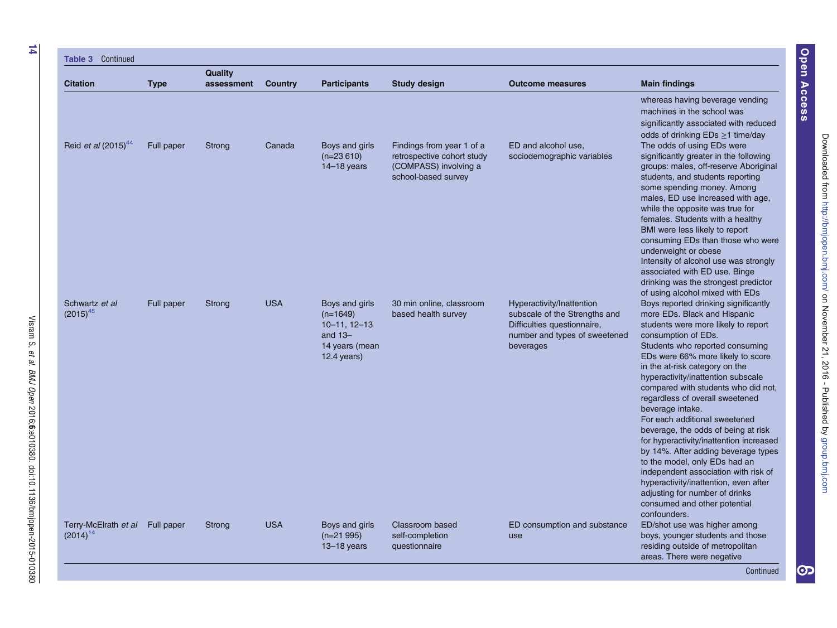| Continued<br>Table 3                             |             |                       |            |                                                                                                       |                                                                                                         |                                                                                                                                         |                                                                                                                                                                                                                                                                                                                                                                                                                                                                                                                                                                                                                                                                                                                                                |
|--------------------------------------------------|-------------|-----------------------|------------|-------------------------------------------------------------------------------------------------------|---------------------------------------------------------------------------------------------------------|-----------------------------------------------------------------------------------------------------------------------------------------|------------------------------------------------------------------------------------------------------------------------------------------------------------------------------------------------------------------------------------------------------------------------------------------------------------------------------------------------------------------------------------------------------------------------------------------------------------------------------------------------------------------------------------------------------------------------------------------------------------------------------------------------------------------------------------------------------------------------------------------------|
| <b>Citation</b>                                  | <b>Type</b> | Quality<br>assessment | Country    | <b>Participants</b>                                                                                   | <b>Study design</b>                                                                                     | <b>Outcome measures</b>                                                                                                                 | <b>Main findings</b>                                                                                                                                                                                                                                                                                                                                                                                                                                                                                                                                                                                                                                                                                                                           |
| Reid <i>et al</i> (2015) <sup>44</sup>           |             |                       |            |                                                                                                       |                                                                                                         |                                                                                                                                         | whereas having beverage vending<br>machines in the school was<br>significantly associated with reduced<br>odds of drinking EDs ≥1 time/day<br>The odds of using EDs were                                                                                                                                                                                                                                                                                                                                                                                                                                                                                                                                                                       |
|                                                  | Full paper  | Strong                | Canada     | Boys and girls<br>$(n=23610)$<br>$14-18$ years                                                        | Findings from year 1 of a<br>retrospective cohort study<br>(COMPASS) involving a<br>school-based survey | ED and alcohol use,<br>sociodemographic variables                                                                                       | significantly greater in the following<br>groups: males, off-reserve Aboriginal<br>students, and students reporting<br>some spending money. Among<br>males, ED use increased with age,<br>while the opposite was true for<br>females. Students with a healthy<br>BMI were less likely to report<br>consuming EDs than those who were<br>underweight or obese<br>Intensity of alcohol use was strongly<br>associated with ED use. Binge<br>drinking was the strongest predictor<br>of using alcohol mixed with EDs                                                                                                                                                                                                                              |
| Schwartz et al<br>$(2015)^{45}$                  | Full paper  | Strong                | <b>USA</b> | Boys and girls<br>$(n=1649)$<br>$10 - 11$ , $12 - 13$<br>and $13-$<br>14 years (mean<br>$12.4$ years) | 30 min online, classroom<br>based health survey                                                         | Hyperactivity/Inattention<br>subscale of the Strengths and<br>Difficulties questionnaire,<br>number and types of sweetened<br>beverages | Boys reported drinking significantly<br>more EDs. Black and Hispanic<br>students were more likely to report<br>consumption of EDs.<br>Students who reported consuming<br>EDs were 66% more likely to score<br>in the at-risk category on the<br>hyperactivity/inattention subscale<br>compared with students who did not,<br>regardless of overall sweetened<br>beverage intake.<br>For each additional sweetened<br>beverage, the odds of being at risk<br>for hyperactivity/inattention increased<br>by 14%. After adding beverage types<br>to the model, only EDs had an<br>independent association with risk of<br>hyperactivity/inattention, even after<br>adjusting for number of drinks<br>consumed and other potential<br>confounders. |
| Terry-McElrath et al Full paper<br>$(2014)^{14}$ |             | <b>Strong</b>         | <b>USA</b> | Boys and girls<br>$(n=21995)$<br>$13 - 18$ years                                                      | Classroom based<br>self-completion<br>questionnaire                                                     | ED consumption and substance<br>use                                                                                                     | ED/shot use was higher among<br>boys, younger students and those<br>residing outside of metropolitan<br>areas. There were negative<br>Continued                                                                                                                                                                                                                                                                                                                                                                                                                                                                                                                                                                                                |

et al.

BMJ Open

2016;6:e010380.

doi:10.1136/bmjopen-2015-010380

Open Access Access

စာ $\overline{\mathbf{C}}$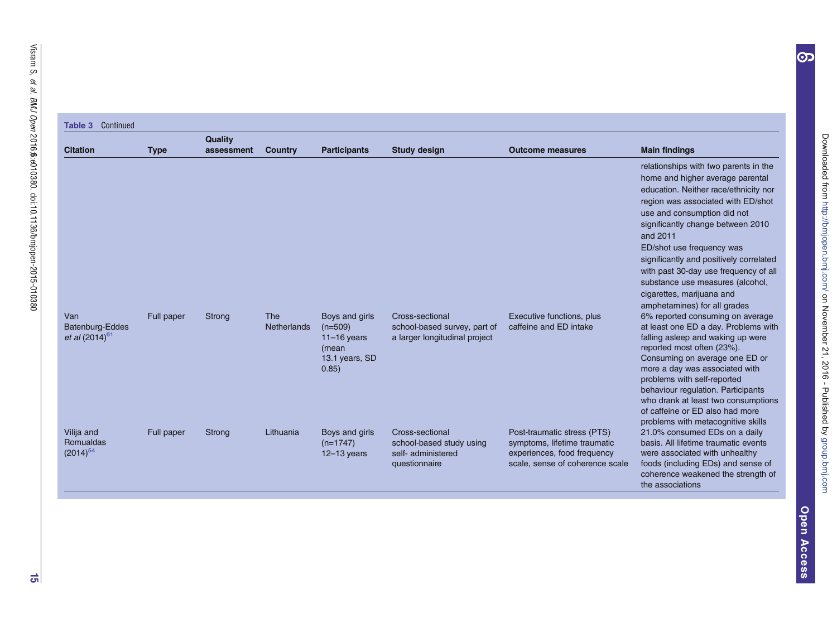# Table 3 Continued

|                                                 |             | <b>Quality</b> |                           |                                                                                  |                                                                                    |                                                                                                                               |                                                                                                                                                                                                                                                                                                                                                                                                                                                            |
|-------------------------------------------------|-------------|----------------|---------------------------|----------------------------------------------------------------------------------|------------------------------------------------------------------------------------|-------------------------------------------------------------------------------------------------------------------------------|------------------------------------------------------------------------------------------------------------------------------------------------------------------------------------------------------------------------------------------------------------------------------------------------------------------------------------------------------------------------------------------------------------------------------------------------------------|
| <b>Citation</b>                                 | <b>Type</b> | assessment     | Country                   | <b>Participants</b>                                                              | <b>Study design</b>                                                                | <b>Outcome measures</b>                                                                                                       | <b>Main findings</b>                                                                                                                                                                                                                                                                                                                                                                                                                                       |
|                                                 |             |                |                           |                                                                                  |                                                                                    |                                                                                                                               | relationships with two parents in the<br>home and higher average parental<br>education. Neither race/ethnicity nor<br>region was associated with ED/shot<br>use and consumption did not<br>significantly change between 2010<br>and 2011<br>ED/shot use frequency was<br>significantly and positively correlated<br>with past 30-day use frequency of all<br>substance use measures (alcohol,<br>cigarettes, marijuana and<br>amphetamines) for all grades |
| Van<br>Batenburg-Eddes<br>et al $(2014)^{61}$   | Full paper  | Strong         | The<br><b>Netherlands</b> | Boys and girls<br>$(n=509)$<br>$11-16$ years<br>(mean<br>13.1 years, SD<br>0.85) | Cross-sectional<br>school-based survey, part of<br>a larger longitudinal project   | Executive functions, plus<br>caffeine and ED intake                                                                           | 6% reported consuming on average<br>at least one ED a day. Problems with<br>falling asleep and waking up were<br>reported most often (23%).<br>Consuming on average one ED or<br>more a day was associated with<br>problems with self-reported<br>behaviour regulation. Participants<br>who drank at least two consumptions<br>of caffeine or ED also had more<br>problems with metacognitive skills                                                       |
| Vilija and<br><b>Romualdas</b><br>$(2014)^{54}$ | Full paper  | <b>Strong</b>  | Lithuania                 | Boys and girls<br>$(n=1747)$<br>$12 - 13$ years                                  | Cross-sectional<br>school-based study using<br>self- administered<br>questionnaire | Post-traumatic stress (PTS)<br>symptoms, lifetime traumatic<br>experiences, food frequency<br>scale, sense of coherence scale | 21.0% consumed EDs on a daily<br>basis. All lifetime traumatic events<br>were associated with unhealthy<br>foods (including EDs) and sense of<br>coherence weakened the strength of<br>the associations                                                                                                                                                                                                                                                    |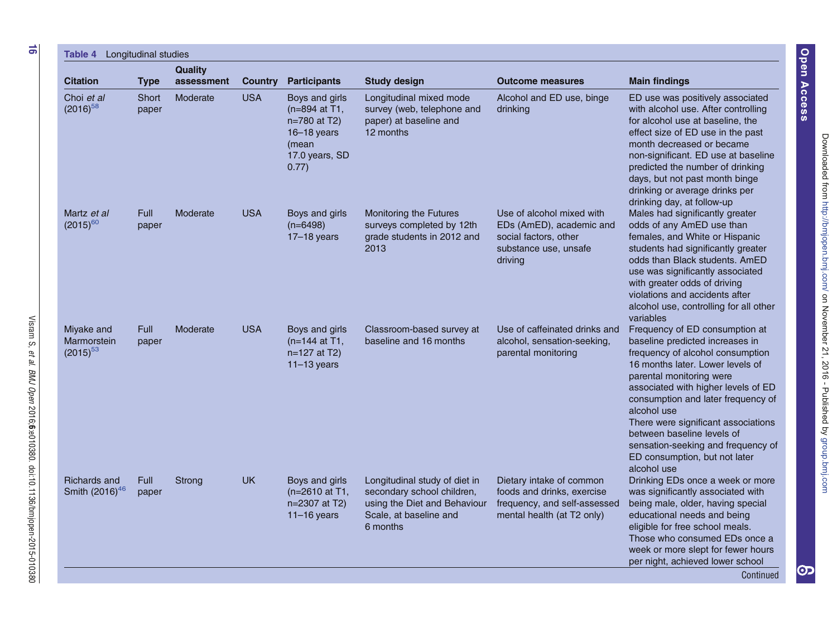<span id="page-15-0"></span>

| <b>Citation</b>                                   | <b>Type</b>          | <b>Quality</b><br>assessment | <b>Country</b> | <b>Participants</b>                                                                                      | <b>Study design</b>                                                                                                               | <b>Outcome measures</b>                                                                                              | <b>Main findings</b>                                                                                                                                                                                                                                                                                                                                                                                                         |
|---------------------------------------------------|----------------------|------------------------------|----------------|----------------------------------------------------------------------------------------------------------|-----------------------------------------------------------------------------------------------------------------------------------|----------------------------------------------------------------------------------------------------------------------|------------------------------------------------------------------------------------------------------------------------------------------------------------------------------------------------------------------------------------------------------------------------------------------------------------------------------------------------------------------------------------------------------------------------------|
| Choi et al<br>$(2016)^{58}$                       | Short<br>paper       | Moderate                     | <b>USA</b>     | Boys and girls<br>$(n=894$ at T1.<br>n=780 at T2)<br>$16 - 18$ years<br>(mean<br>17.0 years, SD<br>0.77) | Longitudinal mixed mode<br>survey (web, telephone and<br>paper) at baseline and<br>12 months                                      | Alcohol and ED use, binge<br>drinking                                                                                | ED use was positively associated<br>with alcohol use. After controlling<br>for alcohol use at baseline, the<br>effect size of ED use in the past<br>month decreased or became<br>non-significant. ED use at baseline<br>predicted the number of drinking<br>days, but not past month binge<br>drinking or average drinks per<br>drinking day, at follow-up                                                                   |
| Martz et al<br>$(2015)^{60}$                      | <b>Full</b><br>paper | Moderate                     | <b>USA</b>     | Boys and girls<br>$(n=6498)$<br>$17-18$ years                                                            | <b>Monitoring the Futures</b><br>surveys completed by 12th<br>grade students in 2012 and<br>2013                                  | Use of alcohol mixed with<br>EDs (AmED), academic and<br>social factors, other<br>substance use, unsafe<br>driving   | Males had significantly greater<br>odds of any AmED use than<br>females, and White or Hispanic<br>students had significantly greater<br>odds than Black students. AmED<br>use was significantly associated<br>with greater odds of driving<br>violations and accidents after<br>alcohol use, controlling for all other<br>variables                                                                                          |
| Miyake and<br>Marmorstein<br>$(2015)^{53}$        | <b>Full</b><br>paper | Moderate                     | <b>USA</b>     | Boys and girls<br>(n=144 at T1,<br>n=127 at T2)<br>$11-13$ years                                         | Classroom-based survey at<br>baseline and 16 months                                                                               | Use of caffeinated drinks and<br>alcohol, sensation-seeking,<br>parental monitoring                                  | Frequency of ED consumption at<br>baseline predicted increases in<br>frequency of alcohol consumption<br>16 months later. Lower levels of<br>parental monitoring were<br>associated with higher levels of ED<br>consumption and later frequency of<br>alcohol use<br>There were significant associations<br>between baseline levels of<br>sensation-seeking and frequency of<br>ED consumption, but not later<br>alcohol use |
| <b>Richards and</b><br>Smith (2016) <sup>46</sup> | <b>Full</b><br>paper | Strong                       | <b>UK</b>      | Boys and girls<br>(n=2610 at T1,<br>n=2307 at T2)<br>$11-16$ years                                       | Longitudinal study of diet in<br>secondary school children,<br>using the Diet and Behaviour<br>Scale, at baseline and<br>6 months | Dietary intake of common<br>foods and drinks, exercise<br>frequency, and self-assessed<br>mental health (at T2 only) | Drinking EDs once a week or more<br>was significantly associated with<br>being male, older, having special<br>educational needs and being<br>eligible for free school meals.<br>Those who consumed EDs once a<br>week or more slept for fewer hours<br>per night, achieved lower school<br>Continued                                                                                                                         |

et al.

BMJ Open

2016;6:e010380.

doi:10.1136/bmjopen-2015-010380

[JURXSEPMFRP](http://group.bmj.com) RDN RDN RDN RDN RDN RDN ASOLV (SOLV) 'RZQORDGHGIURP 'RZQORDGHGIURP 'RZQORDGHGIURP 'RZQORDGHGIURP '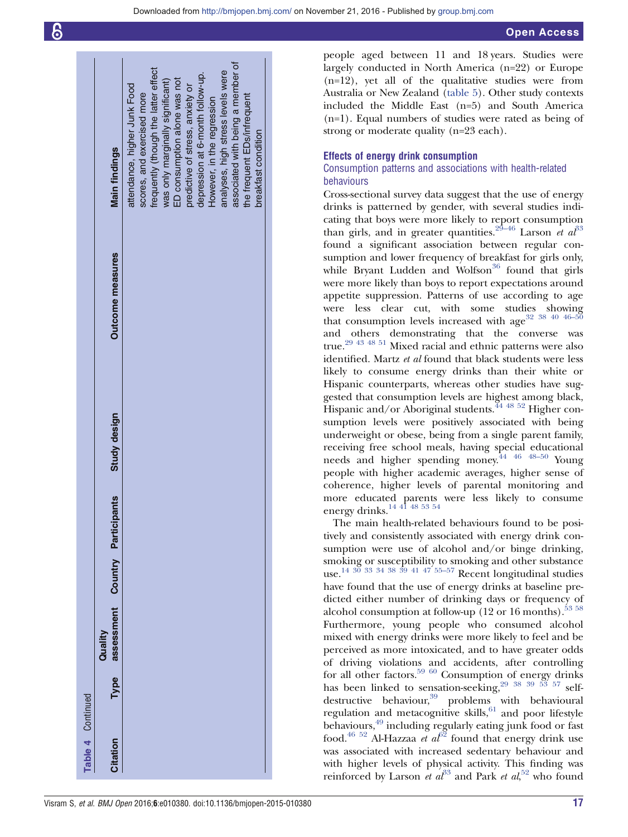|                   | <b>Main findings</b>                 | attendance, higher Junk Food | scores, and exercised more | frequently (though the latter effect | was only marginally significant) | ED consumption alone was not | predictive of stress, anxiety or | depression at 6-month follow-up. | However, in the regression | analyses, high stress levels were | associated with being a member of | the frequent EDs/infrequent | breakfast condition |  |
|-------------------|--------------------------------------|------------------------------|----------------------------|--------------------------------------|----------------------------------|------------------------------|----------------------------------|----------------------------------|----------------------------|-----------------------------------|-----------------------------------|-----------------------------|---------------------|--|
|                   | <b>Outcome measures</b>              |                              |                            |                                      |                                  |                              |                                  |                                  |                            |                                   |                                   |                             |                     |  |
|                   | Study design                         |                              |                            |                                      |                                  |                              |                                  |                                  |                            |                                   |                                   |                             |                     |  |
|                   | Type assessment Country Participants |                              |                            |                                      |                                  |                              |                                  |                                  |                            |                                   |                                   |                             |                     |  |
|                   |                                      |                              |                            |                                      |                                  |                              |                                  |                                  |                            |                                   |                                   |                             |                     |  |
|                   | Quality                              |                              |                            |                                      |                                  |                              |                                  |                                  |                            |                                   |                                   |                             |                     |  |
|                   |                                      |                              |                            |                                      |                                  |                              |                                  |                                  |                            |                                   |                                   |                             |                     |  |
| Table 4 Continued | Citation                             |                              |                            |                                      |                                  |                              |                                  |                                  |                            |                                   |                                   |                             |                     |  |

people aged between 11 and 18 years. Studies were largely conducted in North America (n=22) or Europe (n=12), yet all of the qualitative studies were from Australia or New Zealand [\(table 5](#page-17-0)). Other study contexts included the Middle East (n=5) and South America (n=1). Equal numbers of studies were rated as being of strong or moderate quality (n=23 each).

# Effects of energy drink consumption

# Consumption patterns and associations with health-related behaviours

Cross-sectional survey data suggest that the use of energy drinks is patterned by gender, with several studies indicating that boys were more likely to report consumption than girls, and in greater quantities.<sup>29–[46](#page-21-0)</sup> Larson et  $a<sup>33</sup>$  $a<sup>33</sup>$  $a<sup>33</sup>$ found a significant association between regular consumption and lower frequency of breakfast for girls only, while Bryant Ludden and Wolfson<sup>[36](#page-21-0)</sup> found that girls were more likely than boys to report expectations around appetite suppression. Patterns of use according to age were less clear cut, with some studies showing that consumption levels increased with age  $32^{38}$   $40^{46-5}$ and others demonstrating that the converse was true[.29 43 48 51](#page-21-0) Mixed racial and ethnic patterns were also identified. Martz et al found that black students were less likely to consume energy drinks than their white or Hispanic counterparts, whereas other studies have suggested that consumption levels are highest among black, Hispanic and/or Aboriginal students.<sup>[44 48 52](#page-21-0)</sup> Higher consumption levels were positively associated with being underweight or obese, being from a single parent family, receiving free school meals, having special educational needs and higher spending money[.44 46 48](#page-21-0)–<sup>50</sup> Young people with higher academic averages, higher sense of coherence, higher levels of parental monitoring and more educated parents were less likely to consume energy drinks.<sup>14 41</sup> <sup>48 53</sup> <sup>54</sup>

The main health-related behaviours found to be positively and consistently associated with energy drink consumption were use of alcohol and/or binge drinking, smoking or susceptibility to smoking and other substance use.[14 30 33 34 38 39 41 47](#page-21-0) [55](#page-22-0)–<sup>57</sup> Recent longitudinal studies have found that the use of energy drinks at baseline predicted either number of drinking days or frequency of alcohol consumption at follow-up  $(12 \text{ or } 16 \text{ months})$ .<sup>53 [58](#page-22-0)</sup> Furthermore, young people who consumed alcohol mixed with energy drinks were more likely to feel and be perceived as more intoxicated, and to have greater odds of driving violations and accidents, after controlling for all other factors.<sup>[59 60](#page-22-0)</sup> Consumption of energy drinks has been linked to sensation-seeking, $29\frac{38\frac{39}{53}\frac{53}{57}}{57}$  self-destructive behaviour,<sup>[39](#page-21-0)</sup> problems with behavioural regulation and metacognitive skills, $61$  and poor lifestyle behaviours,[49](#page-21-0) including regularly eating junk food or fast food.<sup>[46 52](#page-21-0)</sup> Al-Hazzaa *et al*<sup>[62](#page-22-0)</sup> found that energy drink use was associated with increased sedentary behaviour and with higher levels of physical activity. This finding was reinforced by Larson et  $a l^{33}$  $a l^{33}$  $a l^{33}$  and Park et  $a l$ <sup>[52](#page-21-0)</sup> who found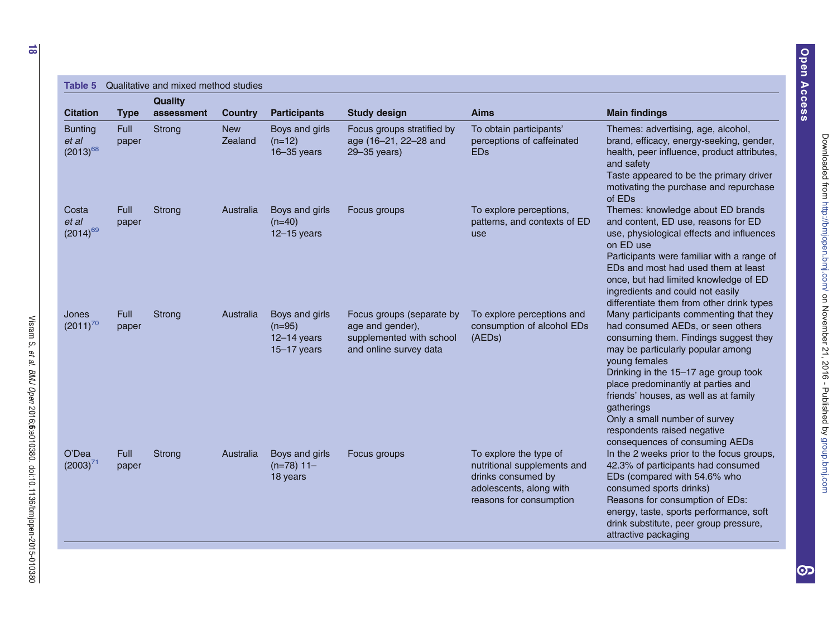<span id="page-17-0"></span>

| Table 5                                  |                      | Qualitative and mixed method studies |                       |                                                              |                                                                                                     |                                                                                                                                   |                                                                                                                                                                                                                                                                                                                                                                                                                   |
|------------------------------------------|----------------------|--------------------------------------|-----------------------|--------------------------------------------------------------|-----------------------------------------------------------------------------------------------------|-----------------------------------------------------------------------------------------------------------------------------------|-------------------------------------------------------------------------------------------------------------------------------------------------------------------------------------------------------------------------------------------------------------------------------------------------------------------------------------------------------------------------------------------------------------------|
|                                          |                      | <b>Quality</b>                       |                       |                                                              |                                                                                                     |                                                                                                                                   |                                                                                                                                                                                                                                                                                                                                                                                                                   |
| <b>Citation</b>                          | <b>Type</b><br>Full  | assessment                           | <b>Country</b>        | <b>Participants</b>                                          | <b>Study design</b>                                                                                 | <b>Aims</b>                                                                                                                       | <b>Main findings</b>                                                                                                                                                                                                                                                                                                                                                                                              |
| <b>Bunting</b><br>et al<br>$(2013)^{68}$ | paper                | Strong                               | <b>New</b><br>Zealand | Boys and girls<br>$(n=12)$<br>$16 - 35$ years                | Focus groups stratified by<br>age (16-21, 22-28 and<br>29-35 years)                                 | To obtain participants'<br>perceptions of caffeinated<br><b>EDs</b>                                                               | Themes: advertising, age, alcohol,<br>brand, efficacy, energy-seeking, gender,<br>health, peer influence, product attributes,<br>and safety<br>Taste appeared to be the primary driver<br>motivating the purchase and repurchase<br>of EDs                                                                                                                                                                        |
| Costa<br>et al<br>$(2014)^{69}$          | <b>Full</b><br>paper | Strong                               | Australia             | Boys and girls<br>$(n=40)$<br>$12 - 15$ years                | Focus groups                                                                                        | To explore perceptions,<br>patterns, and contexts of ED<br>use                                                                    | Themes: knowledge about ED brands<br>and content, ED use, reasons for ED<br>use, physiological effects and influences<br>on ED use<br>Participants were familiar with a range of<br>EDs and most had used them at least<br>once, but had limited knowledge of ED<br>ingredients and could not easily<br>differentiate them from other drink types                                                                 |
| Jones<br>$(2011)^{70}$                   | <b>Full</b><br>paper | Strong                               | Australia             | Boys and girls<br>$(n=95)$<br>$12-14$ years<br>$15-17$ years | Focus groups (separate by<br>age and gender),<br>supplemented with school<br>and online survey data | To explore perceptions and<br>consumption of alcohol EDs<br>(AEDs)                                                                | Many participants commenting that they<br>had consumed AEDs, or seen others<br>consuming them. Findings suggest they<br>may be particularly popular among<br>young females<br>Drinking in the 15-17 age group took<br>place predominantly at parties and<br>friends' houses, as well as at family<br>gatherings<br>Only a small number of survey<br>respondents raised negative<br>consequences of consuming AEDs |
| O'Dea<br>$(2003)^{71}$                   | <b>Full</b><br>paper | Strong                               | Australia             | Boys and girls<br>$(n=78)$ 11-<br>18 years                   | Focus groups                                                                                        | To explore the type of<br>nutritional supplements and<br>drinks consumed by<br>adolescents, along with<br>reasons for consumption | In the 2 weeks prior to the focus groups,<br>42.3% of participants had consumed<br>EDs (compared with 54.6% who<br>consumed sports drinks)<br>Reasons for consumption of EDs:<br>energy, taste, sports performance, soft<br>drink substitute, peer group pressure,<br>attractive packaging                                                                                                                        |

et al.

BMJ Open

2016;6:e010380.

doi:10.1136/bmjopen-2015-010380

Open Access Access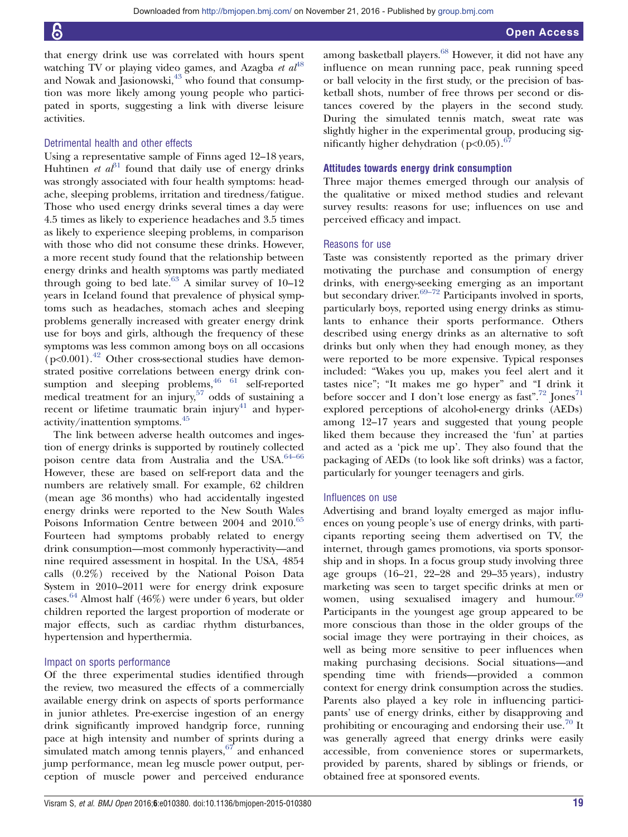that energy drink use was correlated with hours spent watching TV or playing video games, and Azagba et  $al^{48}$  $al^{48}$  $al^{48}$ and Nowak and Jasionowski, $43$  who found that consumption was more likely among young people who participated in sports, suggesting a link with diverse leisure activities.

# Detrimental health and other effects

Using a representative sample of Finns aged 12–18 years, Huhtinen *et al*<sup>[31](#page-21-0)</sup> found that daily use of energy drinks was strongly associated with four health symptoms: headache, sleeping problems, irritation and tiredness/fatigue. Those who used energy drinks several times a day were 4.5 times as likely to experience headaches and 3.5 times as likely to experience sleeping problems, in comparison with those who did not consume these drinks. However, a more recent study found that the relationship between energy drinks and health symptoms was partly mediated through going to bed late.<sup>[63](#page-22-0)</sup> A similar survey of  $10-12$ years in Iceland found that prevalence of physical symptoms such as headaches, stomach aches and sleeping problems generally increased with greater energy drink use for boys and girls, although the frequency of these symptoms was less common among boys on all occasions  $(p<0.001)$ .<sup>[42](#page-21-0)</sup> Other cross-sectional studies have demonstrated positive correlations between energy drink consumption and sleeping problems,  $46 \overline{61}$  $46 \overline{61}$  self-reported medical treatment for an injury,  $57 \text{ odds of sustainability}$  $57 \text{ odds of sustainability}$ recent or lifetime traumatic brain injury $41$  and hyperactivity/inattention symptoms.[45](#page-21-0)

The link between adverse health outcomes and ingestion of energy drinks is supported by routinely collected poison centre data from Australia and the USA.<sup>[64](#page-22-0)–66</sup> However, these are based on self-report data and the numbers are relatively small. For example, 62 children (mean age 36 months) who had accidentally ingested energy drinks were reported to the New South Wales Poisons Information Centre between 2004 and 2010.<sup>[65](#page-22-0)</sup> Fourteen had symptoms probably related to energy drink consumption—most commonly hyperactivity—and nine required assessment in hospital. In the USA, 4854 calls (0.2%) received by the National Poison Data System in 2010–2011 were for energy drink exposure cases.<sup>[64](#page-22-0)</sup> Almost half (46%) were under 6 years, but older children reported the largest proportion of moderate or major effects, such as cardiac rhythm disturbances, hypertension and hyperthermia.

# Impact on sports performance

Of the three experimental studies identified through the review, two measured the effects of a commercially available energy drink on aspects of sports performance in junior athletes. Pre-exercise ingestion of an energy drink significantly improved handgrip force, running pace at high intensity and number of sprints during a simulated match among tennis players, $67$  and enhanced jump performance, mean leg muscle power output, perception of muscle power and perceived endurance among basketball players.<sup>[68](#page-22-0)</sup> However, it did not have any influence on mean running pace, peak running speed or ball velocity in the first study, or the precision of basketball shots, number of free throws per second or distances covered by the players in the second study. During the simulated tennis match, sweat rate was slightly higher in the experimental group, producing significantly higher dehydration ( $p<0.05$ ).<sup>6</sup>

# Attitudes towards energy drink consumption

Three major themes emerged through our analysis of the qualitative or mixed method studies and relevant survey results: reasons for use; influences on use and perceived efficacy and impact.

# Reasons for use

Taste was consistently reported as the primary driver motivating the purchase and consumption of energy drinks, with energy-seeking emerging as an important but secondary driver.<sup>69–72</sup> Participants involved in sports, particularly boys, reported using energy drinks as stimulants to enhance their sports performance. Others described using energy drinks as an alternative to soft drinks but only when they had enough money, as they were reported to be more expensive. Typical responses included: "Wakes you up, makes you feel alert and it tastes nice"; "It makes me go hyper" and "I drink it before soccer and I don't lose energy as fast".<sup>[72](#page-22-0)</sup> Jones<sup>[71](#page-22-0)</sup> explored perceptions of alcohol-energy drinks (AEDs) among 12–17 years and suggested that young people liked them because they increased the 'fun' at parties and acted as a 'pick me up'. They also found that the packaging of AEDs (to look like soft drinks) was a factor, particularly for younger teenagers and girls.

# Influences on use

Advertising and brand loyalty emerged as major influences on young people's use of energy drinks, with participants reporting seeing them advertised on TV, the internet, through games promotions, via sports sponsorship and in shops. In a focus group study involving three age groups (16–21, 22–28 and 29–35 years), industry marketing was seen to target specific drinks at men or women, using sexualised imagery and humour. $69$ Participants in the youngest age group appeared to be more conscious than those in the older groups of the social image they were portraying in their choices, as well as being more sensitive to peer influences when making purchasing decisions. Social situations—and spending time with friends—provided a common context for energy drink consumption across the studies. Parents also played a key role in influencing participants' use of energy drinks, either by disapproving and prohibiting or encouraging and endorsing their use.<sup>[70](#page-22-0)</sup> It was generally agreed that energy drinks were easily accessible, from convenience stores or supermarkets, provided by parents, shared by siblings or friends, or obtained free at sponsored events.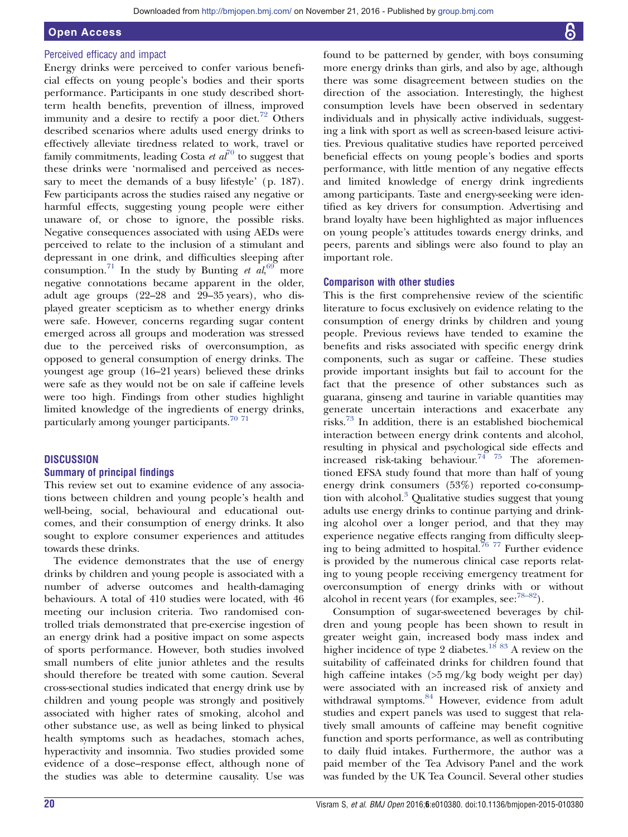# Open Access

# Perceived efficacy and impact

Energy drinks were perceived to confer various beneficial effects on young people's bodies and their sports performance. Participants in one study described shortterm health benefits, prevention of illness, improved immunity and a desire to rectify a poor diet.<sup>[72](#page-22-0)</sup> Others described scenarios where adults used energy drinks to effectively alleviate tiredness related to work, travel or family commitments, leading Costa et  $a\bar{t}^{70}$  $a\bar{t}^{70}$  $a\bar{t}^{70}$  to suggest that these drinks were 'normalised and perceived as necessary to meet the demands of a busy lifestyle' (p. 187). Few participants across the studies raised any negative or harmful effects, suggesting young people were either unaware of, or chose to ignore, the possible risks. Negative consequences associated with using AEDs were perceived to relate to the inclusion of a stimulant and depressant in one drink, and difficulties sleeping after consumption.<sup>[71](#page-22-0)</sup> In the study by Bunting et  $al_0^{69}$  $al_0^{69}$  $al_0^{69}$  more negative connotations became apparent in the older, adult age groups (22–28 and 29–35 years), who displayed greater scepticism as to whether energy drinks were safe. However, concerns regarding sugar content emerged across all groups and moderation was stressed due to the perceived risks of overconsumption, as opposed to general consumption of energy drinks. The youngest age group (16–21 years) believed these drinks were safe as they would not be on sale if caffeine levels were too high. Findings from other studies highlight limited knowledge of the ingredients of energy drinks, particularly among younger participants.<sup>[70 71](#page-22-0)</sup>

# **DISCUSSION**

# Summary of principal findings

This review set out to examine evidence of any associations between children and young people's health and well-being, social, behavioural and educational outcomes, and their consumption of energy drinks. It also sought to explore consumer experiences and attitudes towards these drinks.

The evidence demonstrates that the use of energy drinks by children and young people is associated with a number of adverse outcomes and health-damaging behaviours. A total of 410 studies were located, with 46 meeting our inclusion criteria. Two randomised controlled trials demonstrated that pre-exercise ingestion of an energy drink had a positive impact on some aspects of sports performance. However, both studies involved small numbers of elite junior athletes and the results should therefore be treated with some caution. Several cross-sectional studies indicated that energy drink use by children and young people was strongly and positively associated with higher rates of smoking, alcohol and other substance use, as well as being linked to physical health symptoms such as headaches, stomach aches, hyperactivity and insomnia. Two studies provided some evidence of a dose–response effect, although none of the studies was able to determine causality. Use was

found to be patterned by gender, with boys consuming more energy drinks than girls, and also by age, although there was some disagreement between studies on the direction of the association. Interestingly, the highest consumption levels have been observed in sedentary individuals and in physically active individuals, suggesting a link with sport as well as screen-based leisure activities. Previous qualitative studies have reported perceived beneficial effects on young people's bodies and sports performance, with little mention of any negative effects and limited knowledge of energy drink ingredients among participants. Taste and energy-seeking were identified as key drivers for consumption. Advertising and brand loyalty have been highlighted as major influences on young people's attitudes towards energy drinks, and peers, parents and siblings were also found to play an important role.

# Comparison with other studies

This is the first comprehensive review of the scientific literature to focus exclusively on evidence relating to the consumption of energy drinks by children and young people. Previous reviews have tended to examine the benefits and risks associated with specific energy drink components, such as sugar or caffeine. These studies provide important insights but fail to account for the fact that the presence of other substances such as guarana, ginseng and taurine in variable quantities may generate uncertain interactions and exacerbate any risks.[73](#page-22-0) In addition, there is an established biochemical interaction between energy drink contents and alcohol, resulting in physical and psychological side effects and increased risk-taking behaviour.<sup>74 75</sup> The aforementioned EFSA study found that more than half of young energy drink consumers (53%) reported co-consumption with alcohol.[3](#page-21-0) Qualitative studies suggest that young adults use energy drinks to continue partying and drinking alcohol over a longer period, and that they may experience negative effects ranging from difficulty sleep-ing to being admitted to hospital.<sup>[76 77](#page-22-0)</sup> Further evidence is provided by the numerous clinical case reports relating to young people receiving emergency treatment for overconsumption of energy drinks with or without alcohol in recent years (for examples, see: $78-82$ ).

Consumption of sugar-sweetened beverages by children and young people has been shown to result in greater weight gain, increased body mass index and higher incidence of type 2 diabetes.<sup>[18](#page-21-0) [83](#page-22-0)</sup> A review on the suitability of caffeinated drinks for children found that high caffeine intakes (>5 mg/kg body weight per day) were associated with an increased risk of anxiety and withdrawal symptoms.<sup>[84](#page-22-0)</sup> However, evidence from adult studies and expert panels was used to suggest that relatively small amounts of caffeine may benefit cognitive function and sports performance, as well as contributing to daily fluid intakes. Furthermore, the author was a paid member of the Tea Advisory Panel and the work was funded by the UK Tea Council. Several other studies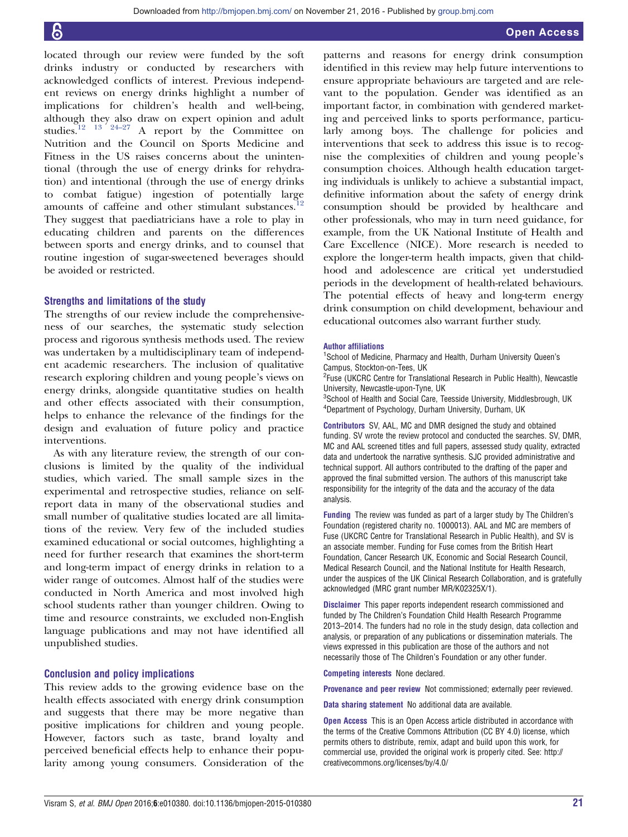located through our review were funded by the soft drinks industry or conducted by researchers with acknowledged conflicts of interest. Previous independent reviews on energy drinks highlight a number of implications for children's health and well-being, although they also draw on expert opinion and adult studies.<sup>12</sup> <sup>13</sup> <sup>24-27</sup> A report by the Committee on A report by the Committee on Nutrition and the Council on Sports Medicine and Fitness in the US raises concerns about the unintentional (through the use of energy drinks for rehydration) and intentional (through the use of energy drinks to combat fatigue) ingestion of potentially large amounts of caffeine and other stimulant substances.<sup>[12](#page-21-0)</sup> They suggest that paediatricians have a role to play in educating children and parents on the differences between sports and energy drinks, and to counsel that routine ingestion of sugar-sweetened beverages should be avoided or restricted.

# Strengths and limitations of the study

The strengths of our review include the comprehensiveness of our searches, the systematic study selection process and rigorous synthesis methods used. The review was undertaken by a multidisciplinary team of independent academic researchers. The inclusion of qualitative research exploring children and young people's views on energy drinks, alongside quantitative studies on health and other effects associated with their consumption, helps to enhance the relevance of the findings for the design and evaluation of future policy and practice interventions.

As with any literature review, the strength of our conclusions is limited by the quality of the individual studies, which varied. The small sample sizes in the experimental and retrospective studies, reliance on selfreport data in many of the observational studies and small number of qualitative studies located are all limitations of the review. Very few of the included studies examined educational or social outcomes, highlighting a need for further research that examines the short-term and long-term impact of energy drinks in relation to a wider range of outcomes. Almost half of the studies were conducted in North America and most involved high school students rather than younger children. Owing to time and resource constraints, we excluded non-English language publications and may not have identified all unpublished studies.

# Conclusion and policy implications

This review adds to the growing evidence base on the health effects associated with energy drink consumption and suggests that there may be more negative than positive implications for children and young people. However, factors such as taste, brand loyalty and perceived beneficial effects help to enhance their popularity among young consumers. Consideration of the

patterns and reasons for energy drink consumption identified in this review may help future interventions to ensure appropriate behaviours are targeted and are relevant to the population. Gender was identified as an important factor, in combination with gendered marketing and perceived links to sports performance, particularly among boys. The challenge for policies and interventions that seek to address this issue is to recognise the complexities of children and young people's consumption choices. Although health education targeting individuals is unlikely to achieve a substantial impact, definitive information about the safety of energy drink consumption should be provided by healthcare and other professionals, who may in turn need guidance, for example, from the UK National Institute of Health and Care Excellence (NICE). More research is needed to explore the longer-term health impacts, given that childhood and adolescence are critical yet understudied periods in the development of health-related behaviours. The potential effects of heavy and long-term energy drink consumption on child development, behaviour and educational outcomes also warrant further study.

### Author affiliations

<sup>1</sup>School of Medicine, Pharmacy and Health, Durham University Queen's Campus, Stockton-on-Tees, UK

<sup>2</sup>Fuse (UKCRC Centre for Translational Research in Public Health), Newcastle University, Newcastle-upon-Tyne, UK

<sup>3</sup>School of Health and Social Care, Teesside University, Middlesbrough, UK 4 Department of Psychology, Durham University, Durham, UK

Contributors SV, AAL, MC and DMR designed the study and obtained funding. SV wrote the review protocol and conducted the searches. SV, DMR, MC and AAL screened titles and full papers, assessed study quality, extracted data and undertook the narrative synthesis. SJC provided administrative and technical support. All authors contributed to the drafting of the paper and approved the final submitted version. The authors of this manuscript take responsibility for the integrity of the data and the accuracy of the data analysis.

Funding The review was funded as part of a larger study by The Children's Foundation (registered charity no. 1000013). AAL and MC are members of Fuse (UKCRC Centre for Translational Research in Public Health), and SV is an associate member. Funding for Fuse comes from the British Heart Foundation, Cancer Research UK, Economic and Social Research Council, Medical Research Council, and the National Institute for Health Research, under the auspices of the UK Clinical Research Collaboration, and is gratefully acknowledged (MRC grant number MR/K02325X/1).

Disclaimer This paper reports independent research commissioned and funded by The Children's Foundation Child Health Research Programme 2013–2014. The funders had no role in the study design, data collection and analysis, or preparation of any publications or dissemination materials. The views expressed in this publication are those of the authors and not necessarily those of The Children's Foundation or any other funder.

Competing interests None declared.

Provenance and peer review Not commissioned; externally peer reviewed.

Data sharing statement No additional data are available.

**Open Access** This is an Open Access article distributed in accordance with the terms of the Creative Commons Attribution (CC BY 4.0) license, which permits others to distribute, remix, adapt and build upon this work, for commercial use, provided the original work is properly cited. See: [http://](http://creativecommons.org/licenses/by/4.0/) [creativecommons.org/licenses/by/4.0/](http://creativecommons.org/licenses/by/4.0/)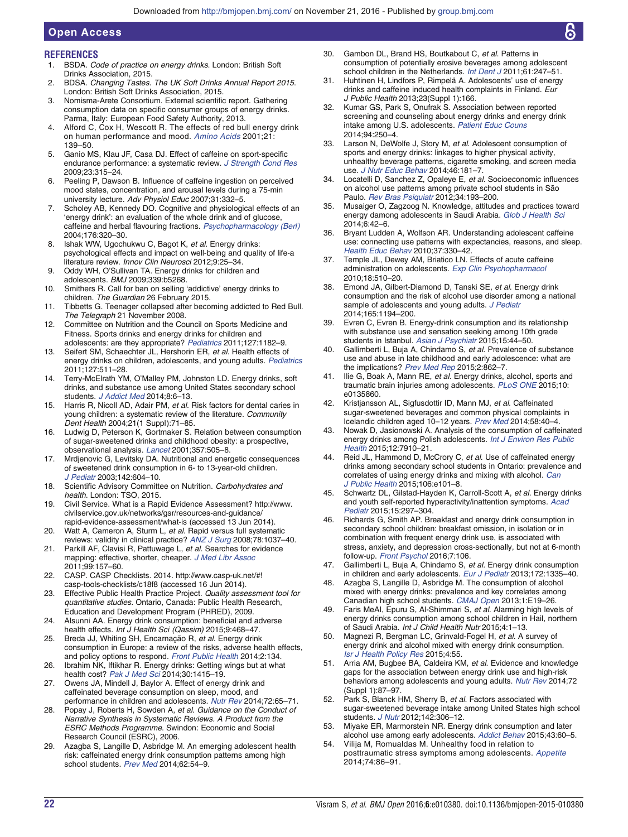# **REFERENCES**

<span id="page-21-0"></span>Open Access

- 1. BSDA. Code of practice on energy drinks. London: British Soft Drinks Association, 2015.
- 2. BDSA. Changing Tastes. The UK Soft Drinks Annual Report 2015. London: British Soft Drinks Association, 2015.
- 3. Nomisma-Arete Consortium. External scientific report. Gathering consumption data on specific consumer groups of energy drinks. Parma, Italy: European Food Safety Authority, 2013.
- 4. Alford C, Cox H, Wescott R. The effects of red bull energy drink on human performance and mood. [Amino Acids](http://dx.doi.org/10.1007/s007260170021) 2001;21: 139–50.
- 5. Ganio MS, Klau JF, Casa DJ. Effect of caffeine on sport-specific endurance performance: a systematic review. [J Strength Cond Res](http://dx.doi.org/10.1519/JSC.0b013e31818b979a) 2009;23:315–24.
- 6. Peeling P, Dawson B. Influence of caffeine ingestion on perceived mood states, concentration, and arousal levels during a 75-min university lecture. Adv Physiol Educ 2007;31:332–5.
- 7. Scholey AB, Kennedy DO. Cognitive and physiological effects of an 'energy drink': an evaluation of the whole drink and of glucose, caffeine and herbal flavouring fractions. [Psychopharmacology \(Berl\)](http://dx.doi.org/10.1007/s00213-004-1935-2) 2004;176:320–30.
- 8. Ishak WW, Ugochukwu C, Bagot K, et al. Energy drinks: psychological effects and impact on well-being and quality of life-a literature review. Innov Clin Neurosci 2012;9:25–34.
- 9. Oddy WH, O'Sullivan TA. Energy drinks for children and adolescents. BMJ 2009;339:b5268.
- 10. Smithers R. Call for ban on selling 'addictive' energy drinks to children. The Guardian 26 February 2015.
- 11. Tibbetts G. Teenager collapsed after becoming addicted to Red Bull. The Telegraph 21 November 2008.
- 12. Committee on Nutrition and the Council on Sports Medicine and Fitness. Sports drinks and energy drinks for children and adolescents: are they appropriate? [Pediatrics](http://dx.doi.org/10.1542/peds.2011-0965) 2011;127:1182–9.
- 13. Seifert SM, Schaechter JL, Hershorin ER, et al. Health effects of energy drinks on children, adolescents, and young adults. [Pediatrics](http://dx.doi.org/10.1542/peds.2009-3592) 2011;127:511–28.
- 14. Terry-McElrath YM, O'Malley PM, Johnston LD. Energy drinks, soft drinks, and substance use among United States secondary school students. [J Addict Med](http://dx.doi.org/10.1097/01.ADM.0000435322.07020.53) 2014;8:6-13.
- 15. Harris R, Nicoll AD, Adair PM, et al. Risk factors for dental caries in young children: a systematic review of the literature. Community Dent Health 2004;21(1 Suppl):71–85.
- 16. Ludwig D, Peterson K, Gortmaker S. Relation between consumption of sugar-sweetened drinks and childhood obesity: a prospective, observational analysis. [Lancet](http://dx.doi.org/10.1016/S0140-6736(00)04041-1) 2001;357:505–8.
- 17. Mrdjenovic G, Levitsky DA. Nutritional and energetic consequences of sweetened drink consumption in 6- to 13-year-old children. [J Pediatr](http://dx.doi.org/10.1067/mpd.2003.200) 2003;142:604–10.
- 18. Scientific Advisory Committee on Nutrition. Carbohydrates and health. London: TSO, 2015.
- 19. Civil Service. What is a Rapid Evidence Assessment? [http://www.](http://www.civilservice.gov.uk/networks/gsr/resources-and-guidance/rapid-evidence-assessment/what-is) [civilservice.gov.uk/networks/gsr/resources-and-guidance/](http://www.civilservice.gov.uk/networks/gsr/resources-and-guidance/rapid-evidence-assessment/what-is) [rapid-evidence-assessment/what-is](http://www.civilservice.gov.uk/networks/gsr/resources-and-guidance/rapid-evidence-assessment/what-is) (accessed 13 Jun 2014).
- 20. Watt A, Cameron A, Sturm L, et al. Rapid versus full systematic reviews: validity in clinical practice? [ANZ J Surg](http://dx.doi.org/10.1111/j.1445-2197.2008.04730.x) 2008;78:1037-40.
- 21. Parkill AF, Clavisi R, Pattuwage L, et al. Searches for evidence mapping: effective, shorter, cheaper. [J Med Libr Assoc](http://dx.doi.org/10.3163/1536-5050.99.2.008) 2011;99:157–60.
- 22. CASP. CASP Checklists. 2014. [http://www.casp-uk.net/#!](http://www.casp-uk.net/#!casp-tools-checklists/c18f8) [casp-tools-checklists/c18f8](http://www.casp-uk.net/#!casp-tools-checklists/c18f8) (accessed 16 Jun 2014).
- 23. Effective Public Health Practice Project. Quality assessment tool for quantitative studies. Ontario, Canada: Public Health Research, Education and Development Program (PHRED), 2009.
- 24. Alsunni AA. Energy drink consumption: beneficial and adverse health effects. Int J Health Sci (Qassim) 2015;9:468-47
- 25. Breda JJ, Whiting SH, Encarnação R, et al. Energy drink consumption in Europe: a review of the risks, adverse health effects, and policy options to respond. [Front Public Health](http://dx.doi.org/10.3389/fpubh.2014.00134) 2014;2:134.
- 26. Ibrahim NK, Iftikhar R. Energy drinks: Getting wings but at what health cost? [Pak J Med Sci](http://dx.doi.org/10.12669/pjms.306.5396) 2014;30:1415-19.
- 27. Owens JA, Mindell J, Baylor A. Effect of energy drink and caffeinated beverage consumption on sleep, mood, and performance in children and adolescents. [Nutr Rev](http://dx.doi.org/10.1111/nure.12150) 2014;72:65-71.
- 28. Popay J, Roberts H, Sowden A, et al. Guidance on the Conduct of Narrative Synthesis in Systematic Reviews. A Product from the ESRC Methods Programme. Swindon: Economic and Social Research Council (ESRC), 2006.
- 29. Azagba S, Langille D, Asbridge M. An emerging adolescent health risk: caffeinated energy drink consumption patterns among high school students. [Prev Med](http://dx.doi.org/10.1016/j.ypmed.2014.01.019) 2014;62:54-9.
- 30. Gambon DL, Brand HS, Boutkabout C, et al. Patterns in consumption of potentially erosive beverages among adolescent school children in the Netherlands. [Int Dent J](http://dx.doi.org/10.1111/j.1875-595X.2011.00067.x) 2011;61:247-51.
- 31. Huhtinen H, Lindfors P, Rimpelä A. Adolescents' use of energy drinks and caffeine induced health complaints in Finland. Eur J Public Health 2013;23(Suppl 1):166.
- 32. Kumar GS, Park S, Onufrak S. Association between reported screening and counseling about energy drinks and energy drink intake among U.S. adolescents. [Patient Educ Couns](http://dx.doi.org/10.1016/j.pec.2013.09.026) 2014;94:250–4.
- 33. Larson N, DeWolfe J, Story M, et al. Adolescent consumption of sports and energy drinks: linkages to higher physical activity, unhealthy beverage patterns, cigarette smoking, and screen media use. [J Nutr Educ Behav](http://dx.doi.org/10.1016/j.jneb.2014.02.008) 2014;46:181–7.
- 34. Locatelli D, Sanchez Z, Opaleye E, et al. Socioeconomic influences on alcohol use patterns among private school students in São Paulo. [Rev Bras Psiquiatr](http://dx.doi.org/10.1590/S1516-44462012000200012) 2012;34:193–200.
- Musaiger O, Zagzoog N. Knowledge, attitudes and practices toward energy damong adolescents in Saudi Arabia. [Glob J Health Sci](http://dx.doi.org/10.5539/gjhs.v6n4p42)  $2014.642 - 6$
- 36. Bryant Ludden A, Wolfson AR. Understanding adolescent caffeine use: connecting use patterns with expectancies, reasons, and sleep. [Health Educ Behav](http://dx.doi.org/10.1177/1090198109341783) 2010;37:330–42.
- 37. Temple JL, Dewey AM, Briatico LN. Effects of acute caffeine administration on adolescents. [Exp Clin Psychopharmacol](http://dx.doi.org/10.1037/a0021651) 2010;18:510–20.
- Emond JA, Gilbert-Diamond D, Tanski SE, et al. Energy drink consumption and the risk of alcohol use disorder among a national sample of adolescents and young adults. [J Pediatr](http://dx.doi.org/10.1016/j.jpeds.2014.08.050) 2014;165:1194–200.
- 39. Evren C, Evren B. Energy-drink consumption and its relationship with substance use and sensation seeking among 10th grade students in Istanbul. [Asian J Psychiatr](http://dx.doi.org/10.1016/j.ajp.2015.05.001) 2015:15:44-50.
- 40. Gallimberti L, Buja A, Chindamo S, et al. Prevalence of substance use and abuse in late childhood and early adolescence: what are the implications? [Prev Med Rep](http://dx.doi.org/10.1016/j.pmedr.2015.09.018) 2015;2:862-7.
- Ilie G, Boak A, Mann RE, et al. Energy drinks, alcohol, sports and traumatic brain injuries among adolescents. [PLoS ONE](http://dx.doi.org/10.1371/journal.pone.0135860) 2015;10: e0135860.
- 42. Kristjansson AL, Sigfusdottir ID, Mann MJ, et al. Caffeinated sugar-sweetened beverages and common physical complaints in Icelandic children aged 10–12 years. [Prev Med](http://dx.doi.org/10.1016/j.ypmed.2013.10.011) 2014;58:40–4.
- 43. Nowak D, Jasionowski A. Analysis of the consumption of caffeinated energy drinks among Polish adolescents. [Int J Environ Res Public](http://dx.doi.org/10.3390/ijerph120707910) [Health](http://dx.doi.org/10.3390/ijerph120707910) 2015;12:7910–21.
- 44. Reid JL, Hammond D, McCrory C, et al. Use of caffeinated energy drinks among secondary school students in Ontario: prevalence and correlates of using energy drinks and mixing with alcohol. [Can](http://dx.doi.org/10.17269/cjph.106.4684) [J Public Health](http://dx.doi.org/10.17269/cjph.106.4684) 2015;106:e101–8.
- 45. Schwartz DL, Gilstad-Hayden K, Carroll-Scott A, et al. Energy drinks and youth self-reported hyperactivity/inattention symptoms. [Acad](http://dx.doi.org/10.1016/j.acap.2014.11.006) [Pediatr](http://dx.doi.org/10.1016/j.acap.2014.11.006) 2015;15:297–304.
- 46. Richards G, Smith AP. Breakfast and energy drink consumption in secondary school children: breakfast omission, in isolation or in combination with frequent energy drink use, is associated with stress, anxiety, and depression cross-sectionally, but not at 6-month follow-up. [Front Psychol](http://dx.doi.org/10.3389/fpsyg.2016.00106) 2016;7:106.
- 47. Gallimberti L, Buja A, Chindamo S, et al. Energy drink consumption in children and early adolescents. [Eur J Pediatr](http://dx.doi.org/10.1007/s00431-013-2036-1) 2013;172:1335-40.
- Azagba S, Langille D, Asbridge M. The consumption of alcohol mixed with energy drinks: prevalence and key correlates among Canadian high school students. [CMAJ Open](http://dx.doi.org/10.9778/cmajo.20120017) 2013;1:E19–26.
- 49. Faris MeAI, Epuru S, Al-Shimmari S, et al. Alarming high levels of energy drinks consumption among school children in Hail, northern of Saudi Arabia. Int J Child Health Nutr 2015;4:1-13.
- 50. Magnezi R, Bergman LC, Grinvald-Fogel H, et al. A survey of energy drink and alcohol mixed with energy drink consumption. [Isr J Health Policy Res](http://dx.doi.org/10.1186/s13584-015-0052-5) 2015;4:55.
- 51. Arria AM, Bugbee BA, Caldeira KM, et al. Evidence and knowledge gaps for the association between energy drink use and high-risk behaviors among adolescents and young adults. [Nutr Rev](http://dx.doi.org/10.1111/nure.12129) 2014;72 (Suppl 1):87–97.
- 52. Park S, Blanck HM, Sherry B, et al. Factors associated with sugar-sweetened beverage intake among United States high school students. *[J Nutr](http://dx.doi.org/10.3945/jn.111.148536)* 2012;142:306-12.
- 53. Miyake ER, Marmorstein NR. Energy drink consumption and later alcohol use among early adolescents. [Addict Behav](http://dx.doi.org/10.1016/j.addbeh.2014.12.009) 2015;43:60-5.
- 54. Vilija M, Romualdas M. Unhealthy food in relation to posttraumatic stress symptoms among adolescents. [Appetite](http://dx.doi.org/10.1016/j.appet.2013.12.002) 2014;74:86–91.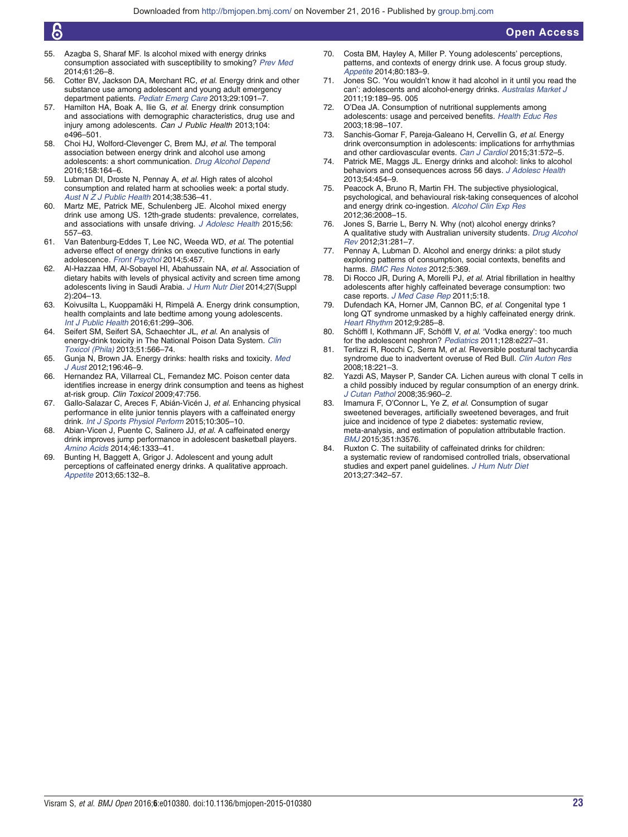- <span id="page-22-0"></span>55. Azagba S, Sharaf MF. Is alcohol mixed with energy drinks consumption associated with susceptibility to smoking? [Prev Med](http://dx.doi.org/10.1016/j.ypmed.2014.01.013) 2014;61:26–8.
- 56. Cotter BV, Jackson DA, Merchant RC, et al. Energy drink and other substance use among adolescent and young adult emergency department patients. [Pediatr Emerg Care](http://dx.doi.org/10.1097/PEC.0b013e3182a6403d) 2013;29:1091-7.
- 57. Hamilton HA, Boak A, Ilie G, et al. Energy drink consumption and associations with demographic characteristics, drug use and injury among adolescents. Can J Public Health 2013;104: e496–501.
- 58. Choi HJ, Wolford-Clevenger C, Brem MJ, et al. The temporal association between energy drink and alcohol use among adolescents: a short communication. [Drug Alcohol Depend](http://dx.doi.org/10.1016/j.drugalcdep.2015.11.009) 2016;158:164–6.
- 59. Lubman DI, Droste N, Pennay A, et al. High rates of alcohol consumption and related harm at schoolies week: a portal study. [Aust N Z J Public Health](http://dx.doi.org/10.1111/1753-6405.12266) 2014;38:536–41.
- 60. Martz ME, Patrick ME, Schulenberg JE. Alcohol mixed energy drink use among US. 12th-grade students: prevalence, correlates, and associations with unsafe driving. [J Adolesc Health](http://dx.doi.org/10.1016/j.jadohealth.2015.01.019) 2015;56: 557–63.
- 61. Van Batenburg-Eddes T, Lee NC, Weeda WD, et al. The potential adverse effect of energy drinks on executive functions in early adolescence. [Front Psychol](http://dx.doi.org/10.3389/fpsyg.2014.00457) 2014;5:457.
- 62. Al-Hazzaa HM, Al-Sobayel HI, Abahussain NA, et al. Association of dietary habits with levels of physical activity and screen time among adolescents living in Saudi Arabia. [J Hum Nutr Diet](http://dx.doi.org/10.1111/jhn.12147) 2014;27(Suppl 2):204–13.
- 63. Koivusilta L, Kuoppamäki H, Rimpelä A. Energy drink consumption, health complaints and late bedtime among young adolescents. [Int J Public Health](http://dx.doi.org/10.1007/s00038-016-0797-9) 2016;61:299–306.
- 64. Seifert SM, Seifert SA, Schaechter JL, et al. An analysis of energy-drink toxicity in The National Poison Data System. [Clin](http://dx.doi.org/10.3109/15563650.2013.820310) [Toxicol \(Phila\)](http://dx.doi.org/10.3109/15563650.2013.820310) 2013;51:566–74.
- 65. Gunja N, Brown JA. Energy drinks: health risks and toxicity. [Med](http://dx.doi.org/10.5694/mja11.10838) [J Aust](http://dx.doi.org/10.5694/mja11.10838) 2012;196:46-9.
- 66. Hernandez RA, Villarreal CL, Fernandez MC. Poison center data identifies increase in energy drink consumption and teens as highest at-risk group. Clin Toxicol 2009;47:756.
- 67. Gallo-Salazar C, Areces F, Abián-Vicén J, et al. Enhancing physical performance in elite junior tennis players with a caffeinated energy drink. [Int J Sports Physiol Perform](http://dx.doi.org/10.1123/ijspp.2014-0103) 2015;10:305–10.
- 68. Abian-Vicen J, Puente C, Salinero JJ, et al. A caffeinated energy drink improves jump performance in adolescent basketball players. [Amino Acids](http://dx.doi.org/10.1007/s00726-014-1702-6) 2014;46:1333-41.
- 69. Bunting H, Baggett A, Grigor J. Adolescent and young adult perceptions of caffeinated energy drinks. A qualitative approach. [Appetite](http://dx.doi.org/10.1016/j.appet.2013.02.011) 2013;65:132–8.
- Costa BM, Hayley A, Miller P. Young adolescents' perceptions, patterns, and contexts of energy drink use. A focus group study. [Appetite](http://dx.doi.org/10.1016/j.appet.2014.05.013) 2014;80:183–9.
- 71. Jones SC. 'You wouldn't know it had alcohol in it until you read the can': adolescents and alcohol-energy drinks. [Australas Market J](http://dx.doi.org/10.1016/j.ausmj.2011.05.) 2011;19:189–95. 005
- 72. O'Dea JA. Consumption of nutritional supplements among adolescents: usage and perceived benefits. [Health Educ Res](http://dx.doi.org/10.1093/her/18.1.98) 2003;18:98–107.
- 73. Sanchis-Gomar F, Pareja-Galeano H, Cervellin G, et al. Energy drink overconsumption in adolescents: implications for arrhythmias and other cardiovascular events. [Can J Cardiol](http://dx.doi.org/10.1016/j.cjca.2014.12.019) 2015;31:572–5.
- Patrick ME, Maggs JL. Energy drinks and alcohol: links to alcohol behaviors and consequences across 56 days. [J Adolesc Health](http://dx.doi.org/10.1016/j.jadohealth.2013.09.013) 2013;54:454–9.
- 75. Peacock A, Bruno R, Martin FH. The subjective physiological, psychological, and behavioural risk-taking consequences of alcohol and energy drink co-ingestion. [Alcohol Clin Exp Res](http://dx.doi.org/10.1111/j.1530-0277.2012.01820.x) 2012;36:2008–15.
- 76. Jones S, Barrie L, Berry N. Why (not) alcohol energy drinks? A qualitative study with Australian university students. [Drug Alcohol](http://dx.doi.org/10.1111/j.1465-3362.2011.00319.x) [Rev](http://dx.doi.org/10.1111/j.1465-3362.2011.00319.x) 2012;31:281–7.
- Pennay A, Lubman D. Alcohol and energy drinks: a pilot study exploring patterns of consumption, social contexts, benefits and harms. [BMC Res Notes](http://dx.doi.org/10.1186/1756-0500-5-369) 2012;5:369.
- 78. Di Rocco JR, During A, Morelli PJ, et al. Atrial fibrillation in healthy adolescents after highly caffeinated beverage consumption: two case reports. [J Med Case Rep](http://dx.doi.org/10.1186/1752-1947-5-18) 2011;5:18.
- 79. Dufendach KA, Horner JM, Cannon BC, et al. Congenital type 1 long QT syndrome unmasked by a highly caffeinated energy drink. [Heart Rhythm](http://dx.doi.org/10.1016/j.hrthm.2011.10.011) 2012;9:285–8.
- 80. Schöffl I, Kothmann JF, Schöffl V, et al. 'Vodka energy': too much for the adolescent nephron? [Pediatrics](http://dx.doi.org/10.1542/peds.2010-2677) 2011:128:e227-31.
- 81. Terlizzi R, Rocchi C, Serra M, et al. Reversible postural tachycardia syndrome due to inadvertent overuse of Red Bull. [Clin Auton Res](http://dx.doi.org/10.1007/s10286-008-0483-y) 2008;18:221–3.
- Yazdi AS, Mayser P, Sander CA. Lichen aureus with clonal T cells in a child possibly induced by regular consumption of an energy drink. [J Cutan Pathol](http://dx.doi.org/10.1111/j.1600-0560.2007.00918.x) 2008;35:960–2.
- 83. Imamura F, O'Connor L, Ye Z, et al. Consumption of sugar sweetened beverages, artificially sweetened beverages, and fruit juice and incidence of type 2 diabetes: systematic review, meta-analysis, and estimation of population attributable fraction. [BMJ](http://dx.doi.org/10.1136/bmj.h3576) 2015;351:h3576.
- 84. Ruxton C. The suitability of caffeinated drinks for children: a systematic review of randomised controlled trials, observational studies and expert panel quidelines. [J Hum Nutr Diet](http://dx.doi.org/10.1111/jhn.12172) 2013;27:342–57.